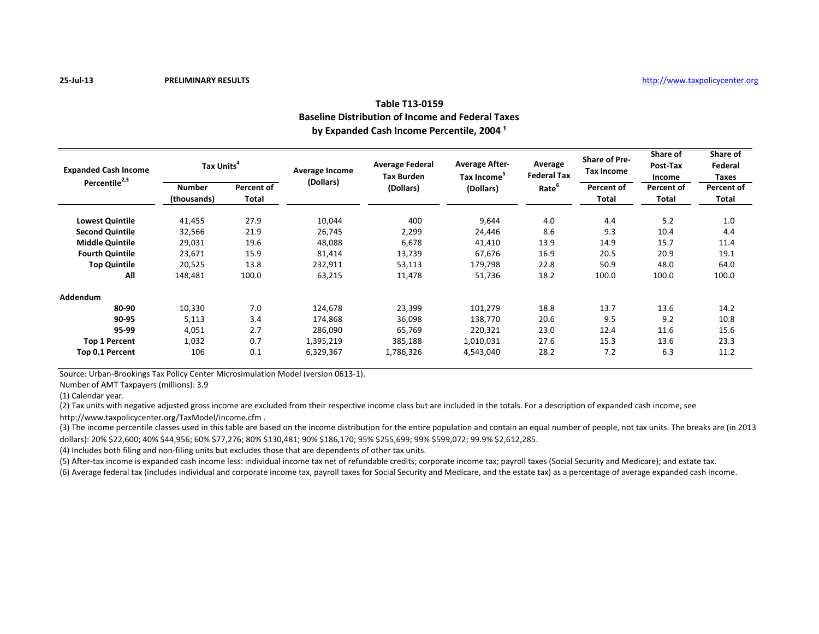# **Table T13-0159 Baseline Distribution of Income and Federal Taxes** by Expanded Cash Income Percentile, 2004<sup>1</sup>

| <b>Expanded Cash Income</b><br>Percentile <sup>2,3</sup> | Tax Units <sup>4</sup> |              | Average Income<br>(Dollars) | <b>Average Federal</b><br><b>Tax Burden</b> | <b>Average After-</b><br>Tax Income <sup>5</sup> | Average<br><b>Federal Tax</b> | <b>Share of Pre-</b><br>Tax Income | Share of<br>Post-Tax<br>Income | Share of<br>Federal<br>Taxes |
|----------------------------------------------------------|------------------------|--------------|-----------------------------|---------------------------------------------|--------------------------------------------------|-------------------------------|------------------------------------|--------------------------------|------------------------------|
|                                                          | <b>Number</b>          | Percent of   |                             | (Dollars)                                   | (Dollars)                                        | Rate <sup>b</sup>             | Percent of                         | Percent of                     | Percent of                   |
|                                                          | (thousands)            | <b>Total</b> |                             |                                             |                                                  |                               | <b>Total</b>                       | Total                          | Total                        |
| <b>Lowest Quintile</b>                                   | 41,455                 | 27.9         | 10,044                      | 400                                         | 9,644                                            | 4.0                           | 4.4                                | 5.2                            | 1.0                          |
| <b>Second Quintile</b>                                   | 32,566                 | 21.9         | 26,745                      | 2,299                                       | 24,446                                           | 8.6                           | 9.3                                | 10.4                           | 4.4                          |
| <b>Middle Quintile</b>                                   | 29,031                 | 19.6         | 48,088                      | 6,678                                       | 41,410                                           | 13.9                          | 14.9                               | 15.7                           | 11.4                         |
| <b>Fourth Quintile</b>                                   | 23,671                 | 15.9         | 81,414                      | 13,739                                      | 67,676                                           | 16.9                          | 20.5                               | 20.9                           | 19.1                         |
| <b>Top Quintile</b>                                      | 20,525                 | 13.8         | 232,911                     | 53,113                                      | 179,798                                          | 22.8                          | 50.9                               | 48.0                           | 64.0                         |
| All                                                      | 148,481                | 100.0        | 63,215                      | 11,478                                      | 51,736                                           | 18.2                          | 100.0                              | 100.0                          | 100.0                        |
| Addendum                                                 |                        |              |                             |                                             |                                                  |                               |                                    |                                |                              |
| 80-90                                                    | 10,330                 | 7.0          | 124,678                     | 23,399                                      | 101,279                                          | 18.8                          | 13.7                               | 13.6                           | 14.2                         |
| 90-95                                                    | 5,113                  | 3.4          | 174,868                     | 36,098                                      | 138,770                                          | 20.6                          | 9.5                                | 9.2                            | 10.8                         |
| 95-99                                                    | 4,051                  | 2.7          | 286,090                     | 65,769                                      | 220,321                                          | 23.0                          | 12.4                               | 11.6                           | 15.6                         |
| <b>Top 1 Percent</b>                                     | 1,032                  | 0.7          | 1,395,219                   | 385,188                                     | 1,010,031                                        | 27.6                          | 15.3                               | 13.6                           | 23.3                         |
| Top 0.1 Percent                                          | 106                    | 0.1          | 6,329,367                   | 1,786,326                                   | 4,543,040                                        | 28.2                          | 7.2                                | 6.3                            | 11.2                         |

Source: Urban-Brookings Tax Policy Center Microsimulation Model (version 0613-1).

Number of AMT Taxpayers (millions): 3.9

(1) Calendar year.

(2) Tax units with negative adjusted gross income are excluded from their respective income class but are included in the totals. For a description of expanded cash income, see

http://www.taxpolicycenter.org/TaxModel/income.cfm .

(3) The income percentile classes used in this table are based on the income distribution for the entire population and contain an equal number of people, not tax units. The breaks are (in 2013 dollars): 20% \$22,600; 40% \$44,956; 60% \$77,276; 80% \$130,481; 90% \$186,170; 95% \$255,699; 99% \$599,072; 99.9% \$2,612,285.

(4) Includes both filing and non-filing units but excludes those that are dependents of other tax units.

(5) After-tax income is expanded cash income less: individual income tax net of refundable credits; corporate income tax; payroll taxes (Social Security and Medicare); and estate tax.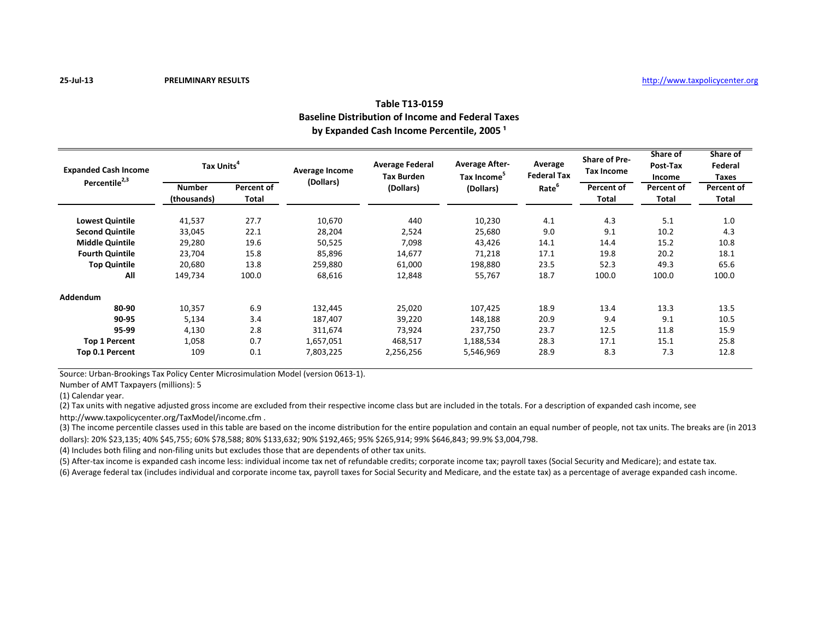# **Table T13-0159 Baseline Distribution of Income and Federal Taxes** by Expanded Cash Income Percentile, 2005<sup>1</sup>

| <b>Expanded Cash Income</b><br>Percentile <sup>2,3</sup> | Tax Units <sup>4</sup> |              | Average Income<br>(Dollars) | <b>Average Federal</b><br><b>Tax Burden</b> | <b>Average After-</b><br>Tax Income <sup>5</sup> | Average<br><b>Federal Tax</b> | <b>Share of Pre-</b><br>Tax Income | Share of<br>Post-Tax<br>Income | Share of<br>Federal<br>Taxes |
|----------------------------------------------------------|------------------------|--------------|-----------------------------|---------------------------------------------|--------------------------------------------------|-------------------------------|------------------------------------|--------------------------------|------------------------------|
|                                                          | <b>Number</b>          | Percent of   |                             | (Dollars)                                   | (Dollars)                                        | Rate <sup>b</sup>             | Percent of                         | Percent of                     | Percent of                   |
|                                                          | (thousands)            | <b>Total</b> |                             |                                             |                                                  |                               | <b>Total</b>                       | Total                          | Total                        |
| <b>Lowest Quintile</b>                                   | 41,537                 | 27.7         | 10,670                      | 440                                         | 10,230                                           | 4.1                           | 4.3                                | 5.1                            | 1.0                          |
| <b>Second Quintile</b>                                   | 33,045                 | 22.1         | 28,204                      | 2,524                                       | 25,680                                           | 9.0                           | 9.1                                | 10.2                           | 4.3                          |
| <b>Middle Quintile</b>                                   | 29,280                 | 19.6         | 50,525                      | 7,098                                       | 43,426                                           | 14.1                          | 14.4                               | 15.2                           | 10.8                         |
| <b>Fourth Quintile</b>                                   | 23,704                 | 15.8         | 85,896                      | 14,677                                      | 71,218                                           | 17.1                          | 19.8                               | 20.2                           | 18.1                         |
| <b>Top Quintile</b>                                      | 20,680                 | 13.8         | 259,880                     | 61.000                                      | 198,880                                          | 23.5                          | 52.3                               | 49.3                           | 65.6                         |
| All                                                      | 149,734                | 100.0        | 68,616                      | 12,848                                      | 55,767                                           | 18.7                          | 100.0                              | 100.0                          | 100.0                        |
| Addendum                                                 |                        |              |                             |                                             |                                                  |                               |                                    |                                |                              |
| 80-90                                                    | 10,357                 | 6.9          | 132,445                     | 25,020                                      | 107,425                                          | 18.9                          | 13.4                               | 13.3                           | 13.5                         |
| 90-95                                                    | 5,134                  | 3.4          | 187,407                     | 39,220                                      | 148,188                                          | 20.9                          | 9.4                                | 9.1                            | 10.5                         |
| 95-99                                                    | 4,130                  | 2.8          | 311,674                     | 73,924                                      | 237,750                                          | 23.7                          | 12.5                               | 11.8                           | 15.9                         |
| <b>Top 1 Percent</b>                                     | 1,058                  | 0.7          | 1,657,051                   | 468,517                                     | 1,188,534                                        | 28.3                          | 17.1                               | 15.1                           | 25.8                         |
| Top 0.1 Percent                                          | 109                    | 0.1          | 7,803,225                   | 2,256,256                                   | 5,546,969                                        | 28.9                          | 8.3                                | 7.3                            | 12.8                         |

Source: Urban-Brookings Tax Policy Center Microsimulation Model (version 0613-1).

Number of AMT Taxpayers (millions): 5

(1) Calendar year.

(2) Tax units with negative adjusted gross income are excluded from their respective income class but are included in the totals. For a description of expanded cash income, see

http://www.taxpolicycenter.org/TaxModel/income.cfm .

(3) The income percentile classes used in this table are based on the income distribution for the entire population and contain an equal number of people, not tax units. The breaks are (in 2013 dollars): 20% \$23,135; 40% \$45,755; 60% \$78,588; 80% \$133,632; 90% \$192,465; 95% \$265,914; 99% \$646,843; 99.9% \$3,004,798.

(4) Includes both filing and non-filing units but excludes those that are dependents of other tax units.

(5) After-tax income is expanded cash income less: individual income tax net of refundable credits; corporate income tax; payroll taxes (Social Security and Medicare); and estate tax.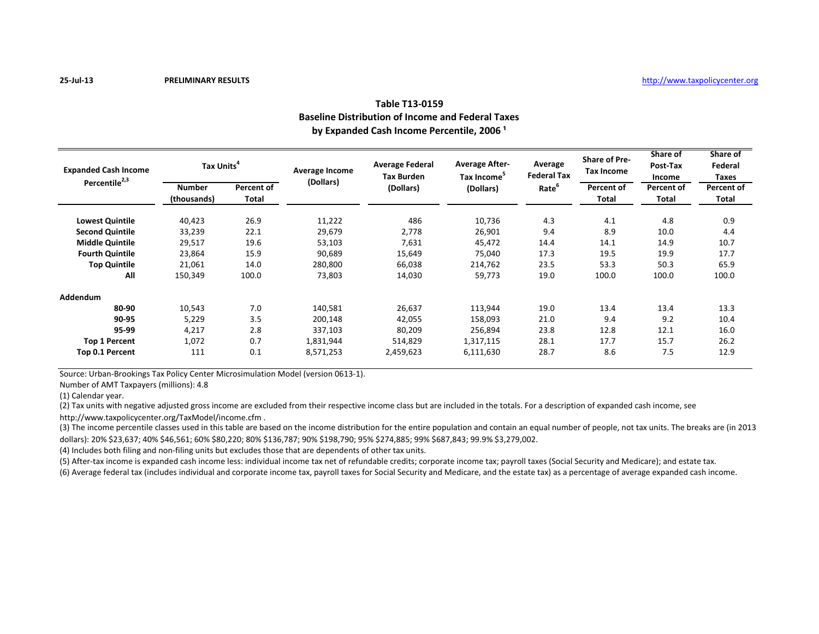# **Table T13-0159 Baseline Distribution of Income and Federal Taxes** by Expanded Cash Income Percentile, 2006<sup>1</sup>

| <b>Expanded Cash Income</b><br>Percentile <sup>2,3</sup> | Tax Units <sup>4</sup> |              | Average Income<br>(Dollars) | <b>Average Federal</b><br><b>Tax Burden</b> | <b>Average After-</b><br>Tax Income <sup>5</sup> | Average<br><b>Federal Tax</b> | <b>Share of Pre-</b><br>Tax Income | Share of<br>Post-Tax<br>Income | Share of<br>Federal<br>Taxes |
|----------------------------------------------------------|------------------------|--------------|-----------------------------|---------------------------------------------|--------------------------------------------------|-------------------------------|------------------------------------|--------------------------------|------------------------------|
|                                                          | <b>Number</b>          | Percent of   |                             | (Dollars)                                   | (Dollars)                                        | Rate <sup>b</sup>             | Percent of                         | Percent of                     | Percent of                   |
|                                                          | (thousands)            | <b>Total</b> |                             |                                             |                                                  |                               | <b>Total</b>                       | Total                          | Total                        |
| <b>Lowest Quintile</b>                                   | 40,423                 | 26.9         | 11,222                      | 486                                         | 10,736                                           | 4.3                           | 4.1                                | 4.8                            | 0.9                          |
| <b>Second Quintile</b>                                   | 33,239                 | 22.1         | 29,679                      | 2,778                                       | 26,901                                           | 9.4                           | 8.9                                | 10.0                           | 4.4                          |
| <b>Middle Quintile</b>                                   | 29,517                 | 19.6         | 53,103                      | 7,631                                       | 45,472                                           | 14.4                          | 14.1                               | 14.9                           | 10.7                         |
| <b>Fourth Quintile</b>                                   | 23,864                 | 15.9         | 90,689                      | 15,649                                      | 75,040                                           | 17.3                          | 19.5                               | 19.9                           | 17.7                         |
| <b>Top Quintile</b>                                      | 21,061                 | 14.0         | 280,800                     | 66,038                                      | 214,762                                          | 23.5                          | 53.3                               | 50.3                           | 65.9                         |
| All                                                      | 150,349                | 100.0        | 73,803                      | 14,030                                      | 59,773                                           | 19.0                          | 100.0                              | 100.0                          | 100.0                        |
| Addendum                                                 |                        |              |                             |                                             |                                                  |                               |                                    |                                |                              |
| 80-90                                                    | 10,543                 | 7.0          | 140,581                     | 26,637                                      | 113,944                                          | 19.0                          | 13.4                               | 13.4                           | 13.3                         |
| 90-95                                                    | 5,229                  | 3.5          | 200,148                     | 42,055                                      | 158,093                                          | 21.0                          | 9.4                                | 9.2                            | 10.4                         |
| 95-99                                                    | 4,217                  | 2.8          | 337,103                     | 80,209                                      | 256,894                                          | 23.8                          | 12.8                               | 12.1                           | 16.0                         |
| <b>Top 1 Percent</b>                                     | 1,072                  | 0.7          | 1,831,944                   | 514,829                                     | 1,317,115                                        | 28.1                          | 17.7                               | 15.7                           | 26.2                         |
| Top 0.1 Percent                                          | 111                    | 0.1          | 8,571,253                   | 2,459,623                                   | 6,111,630                                        | 28.7                          | 8.6                                | 7.5                            | 12.9                         |

Source: Urban-Brookings Tax Policy Center Microsimulation Model (version 0613-1).

Number of AMT Taxpayers (millions): 4.8

(1) Calendar year.

(2) Tax units with negative adjusted gross income are excluded from their respective income class but are included in the totals. For a description of expanded cash income, see

http://www.taxpolicycenter.org/TaxModel/income.cfm .

(3) The income percentile classes used in this table are based on the income distribution for the entire population and contain an equal number of people, not tax units. The breaks are (in 2013 dollars): 20% \$23,637; 40% \$46,561; 60% \$80,220; 80% \$136,787; 90% \$198,790; 95% \$274,885; 99% \$687,843; 99.9% \$3,279,002.

(4) Includes both filing and non-filing units but excludes those that are dependents of other tax units.

(5) After-tax income is expanded cash income less: individual income tax net of refundable credits; corporate income tax; payroll taxes (Social Security and Medicare); and estate tax.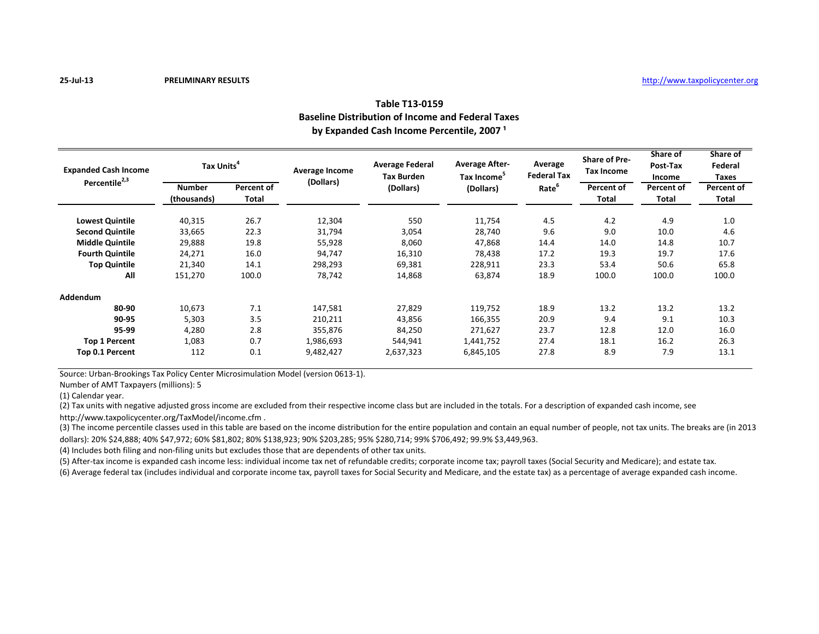# **Table T13-0159 Baseline Distribution of Income and Federal Taxes** by Expanded Cash Income Percentile, 2007<sup>1</sup>

| <b>Expanded Cash Income</b><br>Percentile <sup>2,3</sup> | Tax Units <sup>4</sup> |              | Average Income<br>(Dollars) | <b>Average Federal</b><br><b>Tax Burden</b> | <b>Average After-</b><br>Tax Income <sup>5</sup> | Average<br><b>Federal Tax</b> | <b>Share of Pre-</b><br>Tax Income | Share of<br>Post-Tax<br>Income | Share of<br>Federal<br>Taxes |
|----------------------------------------------------------|------------------------|--------------|-----------------------------|---------------------------------------------|--------------------------------------------------|-------------------------------|------------------------------------|--------------------------------|------------------------------|
|                                                          | <b>Number</b>          | Percent of   |                             | (Dollars)                                   | (Dollars)                                        | Rate <sup>b</sup>             | Percent of                         | Percent of                     | Percent of                   |
|                                                          | (thousands)            | <b>Total</b> |                             |                                             |                                                  |                               | <b>Total</b>                       | Total                          | Total                        |
| <b>Lowest Quintile</b>                                   | 40,315                 | 26.7         | 12,304                      | 550                                         | 11,754                                           | 4.5                           | 4.2                                | 4.9                            | 1.0                          |
| <b>Second Quintile</b>                                   | 33,665                 | 22.3         | 31,794                      | 3,054                                       | 28,740                                           | 9.6                           | 9.0                                | 10.0                           | 4.6                          |
| <b>Middle Quintile</b>                                   | 29,888                 | 19.8         | 55,928                      | 8,060                                       | 47,868                                           | 14.4                          | 14.0                               | 14.8                           | 10.7                         |
| <b>Fourth Quintile</b>                                   | 24,271                 | 16.0         | 94,747                      | 16,310                                      | 78,438                                           | 17.2                          | 19.3                               | 19.7                           | 17.6                         |
| <b>Top Quintile</b>                                      | 21,340                 | 14.1         | 298,293                     | 69,381                                      | 228,911                                          | 23.3                          | 53.4                               | 50.6                           | 65.8                         |
| All                                                      | 151,270                | 100.0        | 78,742                      | 14,868                                      | 63,874                                           | 18.9                          | 100.0                              | 100.0                          | 100.0                        |
| Addendum                                                 |                        |              |                             |                                             |                                                  |                               |                                    |                                |                              |
| 80-90                                                    | 10,673                 | 7.1          | 147,581                     | 27,829                                      | 119,752                                          | 18.9                          | 13.2                               | 13.2                           | 13.2                         |
| 90-95                                                    | 5,303                  | 3.5          | 210,211                     | 43,856                                      | 166,355                                          | 20.9                          | 9.4                                | 9.1                            | 10.3                         |
| 95-99                                                    | 4,280                  | 2.8          | 355,876                     | 84,250                                      | 271,627                                          | 23.7                          | 12.8                               | 12.0                           | 16.0                         |
| <b>Top 1 Percent</b>                                     | 1,083                  | 0.7          | 1,986,693                   | 544,941                                     | 1,441,752                                        | 27.4                          | 18.1                               | 16.2                           | 26.3                         |
| Top 0.1 Percent                                          | 112                    | 0.1          | 9,482,427                   | 2,637,323                                   | 6,845,105                                        | 27.8                          | 8.9                                | 7.9                            | 13.1                         |

Source: Urban-Brookings Tax Policy Center Microsimulation Model (version 0613-1).

Number of AMT Taxpayers (millions): 5

(1) Calendar year.

(2) Tax units with negative adjusted gross income are excluded from their respective income class but are included in the totals. For a description of expanded cash income, see

http://www.taxpolicycenter.org/TaxModel/income.cfm .

(3) The income percentile classes used in this table are based on the income distribution for the entire population and contain an equal number of people, not tax units. The breaks are (in 2013 dollars): 20% \$24,888; 40% \$47,972; 60% \$81,802; 80% \$138,923; 90% \$203,285; 95% \$280,714; 99% \$706,492; 99.9% \$3,449,963.

(4) Includes both filing and non-filing units but excludes those that are dependents of other tax units.

(5) After-tax income is expanded cash income less: individual income tax net of refundable credits; corporate income tax; payroll taxes (Social Security and Medicare); and estate tax.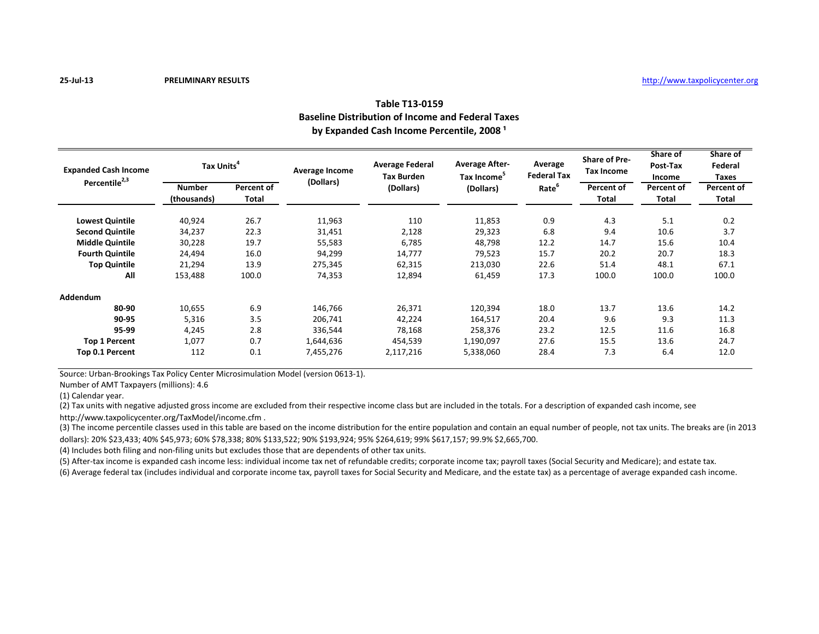# **Table T13-0159 Baseline Distribution of Income and Federal Taxes** by Expanded Cash Income Percentile, 2008<sup>1</sup>

| <b>Expanded Cash Income</b><br>Percentile <sup>2,3</sup> | Tax Units <sup>4</sup> |              | Average Income<br>(Dollars) | <b>Average Federal</b><br><b>Tax Burden</b> | <b>Average After-</b><br>Tax Income <sup>5</sup> | Average<br><b>Federal Tax</b> | <b>Share of Pre-</b><br>Tax Income | Share of<br>Post-Tax<br>Income | Share of<br>Federal<br>Taxes |
|----------------------------------------------------------|------------------------|--------------|-----------------------------|---------------------------------------------|--------------------------------------------------|-------------------------------|------------------------------------|--------------------------------|------------------------------|
|                                                          | <b>Number</b>          | Percent of   |                             | (Dollars)                                   | (Dollars)                                        | Rate <sup>b</sup>             | Percent of                         | Percent of                     | Percent of                   |
|                                                          | (thousands)            | <b>Total</b> |                             |                                             |                                                  |                               | <b>Total</b>                       | Total                          | Total                        |
| <b>Lowest Quintile</b>                                   | 40,924                 | 26.7         | 11,963                      | 110                                         | 11,853                                           | 0.9                           | 4.3                                | 5.1                            | 0.2                          |
| <b>Second Quintile</b>                                   | 34,237                 | 22.3         | 31,451                      | 2,128                                       | 29,323                                           | 6.8                           | 9.4                                | 10.6                           | 3.7                          |
| <b>Middle Quintile</b>                                   | 30,228                 | 19.7         | 55,583                      | 6,785                                       | 48,798                                           | 12.2                          | 14.7                               | 15.6                           | 10.4                         |
| <b>Fourth Quintile</b>                                   | 24,494                 | 16.0         | 94,299                      | 14,777                                      | 79,523                                           | 15.7                          | 20.2                               | 20.7                           | 18.3                         |
| <b>Top Quintile</b>                                      | 21,294                 | 13.9         | 275,345                     | 62,315                                      | 213,030                                          | 22.6                          | 51.4                               | 48.1                           | 67.1                         |
| All                                                      | 153,488                | 100.0        | 74,353                      | 12,894                                      | 61,459                                           | 17.3                          | 100.0                              | 100.0                          | 100.0                        |
| Addendum                                                 |                        |              |                             |                                             |                                                  |                               |                                    |                                |                              |
| 80-90                                                    | 10,655                 | 6.9          | 146,766                     | 26,371                                      | 120,394                                          | 18.0                          | 13.7                               | 13.6                           | 14.2                         |
| 90-95                                                    | 5,316                  | 3.5          | 206,741                     | 42,224                                      | 164,517                                          | 20.4                          | 9.6                                | 9.3                            | 11.3                         |
| 95-99                                                    | 4,245                  | 2.8          | 336,544                     | 78,168                                      | 258,376                                          | 23.2                          | 12.5                               | 11.6                           | 16.8                         |
| <b>Top 1 Percent</b>                                     | 1,077                  | 0.7          | 1,644,636                   | 454,539                                     | 1,190,097                                        | 27.6                          | 15.5                               | 13.6                           | 24.7                         |
| Top 0.1 Percent                                          | 112                    | 0.1          | 7,455,276                   | 2,117,216                                   | 5,338,060                                        | 28.4                          | 7.3                                | 6.4                            | 12.0                         |

Source: Urban-Brookings Tax Policy Center Microsimulation Model (version 0613-1).

Number of AMT Taxpayers (millions): 4.6

(1) Calendar year.

(2) Tax units with negative adjusted gross income are excluded from their respective income class but are included in the totals. For a description of expanded cash income, see

http://www.taxpolicycenter.org/TaxModel/income.cfm .

(3) The income percentile classes used in this table are based on the income distribution for the entire population and contain an equal number of people, not tax units. The breaks are (in 2013 dollars): 20% \$23,433; 40% \$45,973; 60% \$78,338; 80% \$133,522; 90% \$193,924; 95% \$264,619; 99% \$617,157; 99.9% \$2,665,700.

(4) Includes both filing and non-filing units but excludes those that are dependents of other tax units.

(5) After-tax income is expanded cash income less: individual income tax net of refundable credits; corporate income tax; payroll taxes (Social Security and Medicare); and estate tax.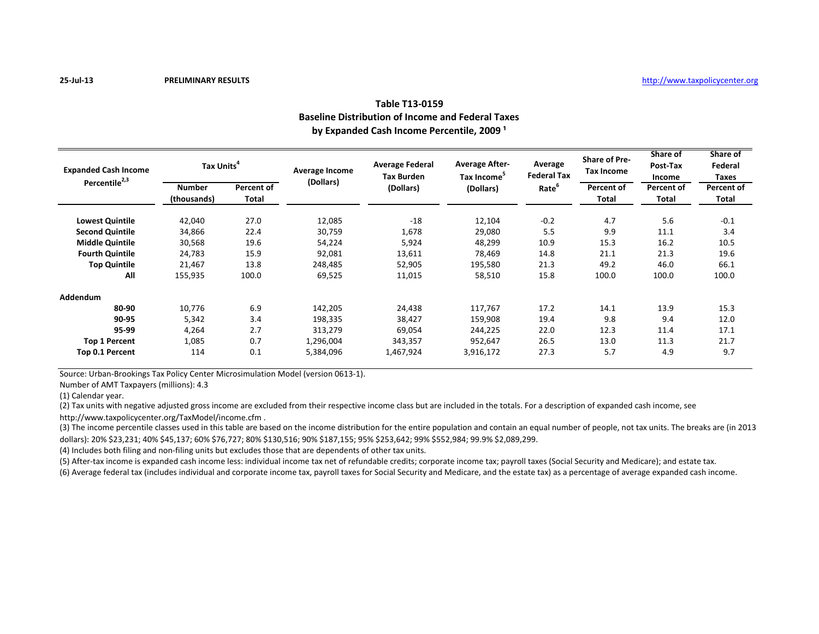# **Table T13-0159 Baseline Distribution of Income and Federal Taxes** by Expanded Cash Income Percentile, 2009<sup>1</sup>

| <b>Expanded Cash Income</b><br>Percentile <sup>2,3</sup> | Tax Units <sup>4</sup> |              | Average Income<br>(Dollars) | <b>Average Federal</b><br><b>Tax Burden</b> | <b>Average After-</b><br>Tax Income <sup>5</sup> | Average<br><b>Federal Tax</b> | <b>Share of Pre-</b><br><b>Tax Income</b> | Share of<br>Post-Tax<br>Income | Share of<br>Federal<br>Taxes |
|----------------------------------------------------------|------------------------|--------------|-----------------------------|---------------------------------------------|--------------------------------------------------|-------------------------------|-------------------------------------------|--------------------------------|------------------------------|
|                                                          | <b>Number</b>          | Percent of   |                             | (Dollars)                                   | (Dollars)                                        | Rate <sup>b</sup>             | Percent of                                | Percent of                     | Percent of                   |
|                                                          | (thousands)            | <b>Total</b> |                             |                                             |                                                  |                               | <b>Total</b>                              | <b>Total</b>                   | Total                        |
| <b>Lowest Quintile</b>                                   | 42,040                 | 27.0         | 12,085                      | $-18$                                       | 12,104                                           | $-0.2$                        | 4.7                                       | 5.6                            | $-0.1$                       |
| <b>Second Quintile</b>                                   | 34,866                 | 22.4         | 30,759                      | 1,678                                       | 29,080                                           | 5.5                           | 9.9                                       | 11.1                           | 3.4                          |
| <b>Middle Quintile</b>                                   | 30,568                 | 19.6         | 54,224                      | 5,924                                       | 48,299                                           | 10.9                          | 15.3                                      | 16.2                           | 10.5                         |
| <b>Fourth Quintile</b>                                   | 24,783                 | 15.9         | 92,081                      | 13,611                                      | 78,469                                           | 14.8                          | 21.1                                      | 21.3                           | 19.6                         |
| <b>Top Quintile</b>                                      | 21,467                 | 13.8         | 248,485                     | 52,905                                      | 195,580                                          | 21.3                          | 49.2                                      | 46.0                           | 66.1                         |
| All                                                      | 155,935                | 100.0        | 69,525                      | 11,015                                      | 58,510                                           | 15.8                          | 100.0                                     | 100.0                          | 100.0                        |
| Addendum                                                 |                        |              |                             |                                             |                                                  |                               |                                           |                                |                              |
| 80-90                                                    | 10,776                 | 6.9          | 142,205                     | 24,438                                      | 117,767                                          | 17.2                          | 14.1                                      | 13.9                           | 15.3                         |
| 90-95                                                    | 5,342                  | 3.4          | 198,335                     | 38,427                                      | 159,908                                          | 19.4                          | 9.8                                       | 9.4                            | 12.0                         |
| 95-99                                                    | 4,264                  | 2.7          | 313,279                     | 69,054                                      | 244,225                                          | 22.0                          | 12.3                                      | 11.4                           | 17.1                         |
| <b>Top 1 Percent</b>                                     | 1,085                  | 0.7          | 1,296,004                   | 343,357                                     | 952,647                                          | 26.5                          | 13.0                                      | 11.3                           | 21.7                         |
| Top 0.1 Percent                                          | 114                    | 0.1          | 5,384,096                   | 1,467,924                                   | 3,916,172                                        | 27.3                          | 5.7                                       | 4.9                            | 9.7                          |

Source: Urban-Brookings Tax Policy Center Microsimulation Model (version 0613-1).

Number of AMT Taxpayers (millions): 4.3

(1) Calendar year.

(2) Tax units with negative adjusted gross income are excluded from their respective income class but are included in the totals. For a description of expanded cash income, see

http://www.taxpolicycenter.org/TaxModel/income.cfm .

(3) The income percentile classes used in this table are based on the income distribution for the entire population and contain an equal number of people, not tax units. The breaks are (in 2013 dollars): 20% \$23,231; 40% \$45,137; 60% \$76,727; 80% \$130,516; 90% \$187,155; 95% \$253,642; 99% \$552,984; 99.9% \$2,089,299.

(4) Includes both filing and non-filing units but excludes those that are dependents of other tax units.

(5) After-tax income is expanded cash income less: individual income tax net of refundable credits; corporate income tax; payroll taxes (Social Security and Medicare); and estate tax.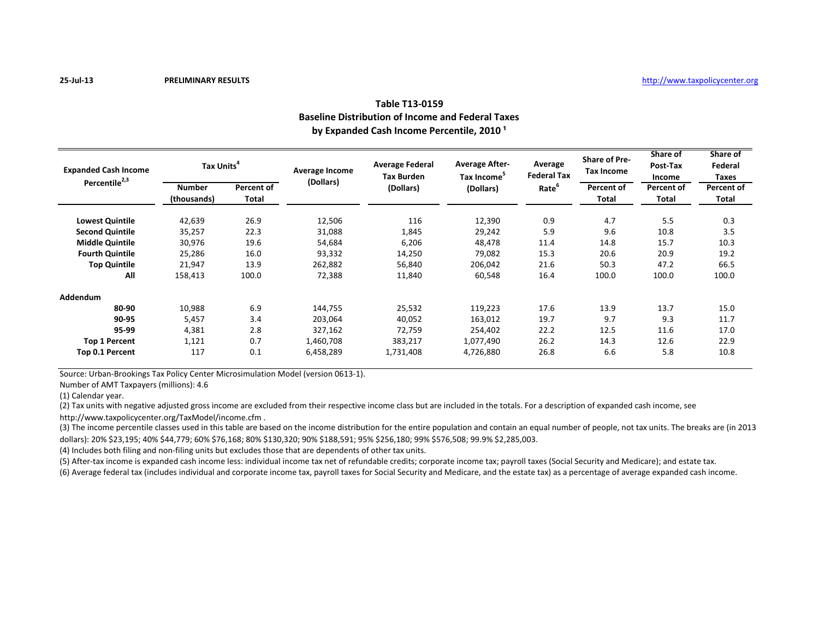# **Table T13-0159 Baseline Distribution of Income and Federal Taxes** by Expanded Cash Income Percentile, 2010<sup>1</sup>

| <b>Expanded Cash Income</b><br>Percentile <sup>2,3</sup> | Tax Units <sup>4</sup> |              | Average Income<br>(Dollars) | <b>Average Federal</b><br><b>Tax Burden</b> | <b>Average After-</b><br>Tax Income <sup>5</sup> | Average<br><b>Federal Tax</b> | <b>Share of Pre-</b><br><b>Tax Income</b> | Share of<br>Post-Tax<br>Income | Share of<br>Federal<br>Taxes |
|----------------------------------------------------------|------------------------|--------------|-----------------------------|---------------------------------------------|--------------------------------------------------|-------------------------------|-------------------------------------------|--------------------------------|------------------------------|
|                                                          | <b>Number</b>          | Percent of   |                             | (Dollars)                                   | (Dollars)                                        | Rate <sup>b</sup>             | Percent of                                | Percent of                     | Percent of                   |
|                                                          | (thousands)            | <b>Total</b> |                             |                                             |                                                  |                               | <b>Total</b>                              | Total                          | Total                        |
| <b>Lowest Quintile</b>                                   | 42,639                 | 26.9         | 12,506                      | 116                                         | 12,390                                           | 0.9                           | 4.7                                       | 5.5                            | 0.3                          |
| <b>Second Quintile</b>                                   | 35,257                 | 22.3         | 31,088                      | 1,845                                       | 29,242                                           | 5.9                           | 9.6                                       | 10.8                           | 3.5                          |
| <b>Middle Quintile</b>                                   | 30,976                 | 19.6         | 54,684                      | 6,206                                       | 48,478                                           | 11.4                          | 14.8                                      | 15.7                           | 10.3                         |
| <b>Fourth Quintile</b>                                   | 25,286                 | 16.0         | 93,332                      | 14,250                                      | 79,082                                           | 15.3                          | 20.6                                      | 20.9                           | 19.2                         |
| <b>Top Quintile</b>                                      | 21,947                 | 13.9         | 262,882                     | 56,840                                      | 206,042                                          | 21.6                          | 50.3                                      | 47.2                           | 66.5                         |
| All                                                      | 158,413                | 100.0        | 72,388                      | 11,840                                      | 60,548                                           | 16.4                          | 100.0                                     | 100.0                          | 100.0                        |
| Addendum                                                 |                        |              |                             |                                             |                                                  |                               |                                           |                                |                              |
| 80-90                                                    | 10,988                 | 6.9          | 144,755                     | 25,532                                      | 119,223                                          | 17.6                          | 13.9                                      | 13.7                           | 15.0                         |
| 90-95                                                    | 5,457                  | 3.4          | 203,064                     | 40,052                                      | 163,012                                          | 19.7                          | 9.7                                       | 9.3                            | 11.7                         |
| 95-99                                                    | 4,381                  | 2.8          | 327,162                     | 72,759                                      | 254,402                                          | 22.2                          | 12.5                                      | 11.6                           | 17.0                         |
| <b>Top 1 Percent</b>                                     | 1,121                  | 0.7          | 1,460,708                   | 383,217                                     | 1,077,490                                        | 26.2                          | 14.3                                      | 12.6                           | 22.9                         |
| Top 0.1 Percent                                          | 117                    | 0.1          | 6,458,289                   | 1,731,408                                   | 4,726,880                                        | 26.8                          | 6.6                                       | 5.8                            | 10.8                         |

Source: Urban-Brookings Tax Policy Center Microsimulation Model (version 0613-1).

Number of AMT Taxpayers (millions): 4.6

(1) Calendar year.

(2) Tax units with negative adjusted gross income are excluded from their respective income class but are included in the totals. For a description of expanded cash income, see

http://www.taxpolicycenter.org/TaxModel/income.cfm .

(3) The income percentile classes used in this table are based on the income distribution for the entire population and contain an equal number of people, not tax units. The breaks are (in 2013 dollars): 20% \$23,195; 40% \$44,779; 60% \$76,168; 80% \$130,320; 90% \$188,591; 95% \$256,180; 99% \$576,508; 99.9% \$2,285,003.

(4) Includes both filing and non-filing units but excludes those that are dependents of other tax units.

(5) After-tax income is expanded cash income less: individual income tax net of refundable credits; corporate income tax; payroll taxes (Social Security and Medicare); and estate tax.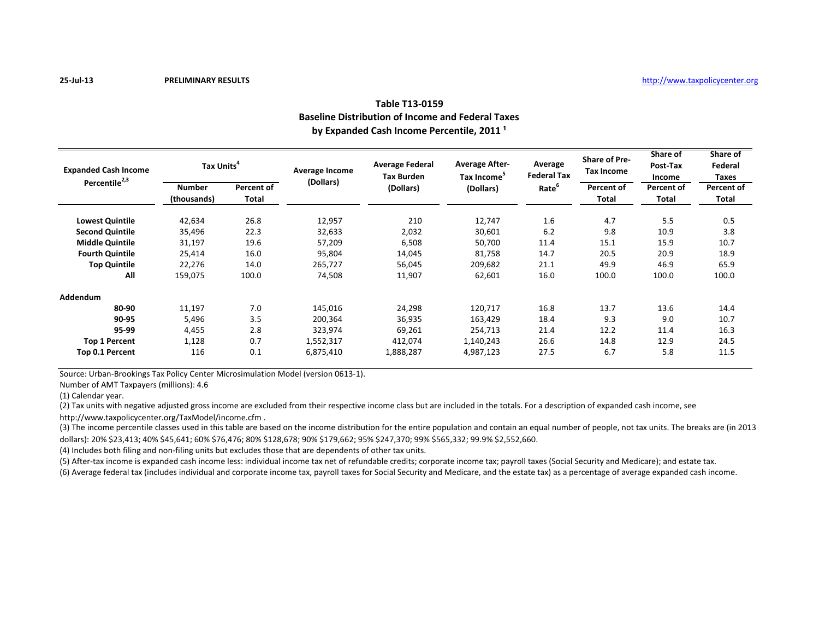# **Table T13-0159 Baseline Distribution of Income and Federal Taxes** by Expanded Cash Income Percentile, 2011<sup>1</sup>

| <b>Expanded Cash Income</b><br>Percentile <sup>2,3</sup> | Tax Units <sup>4</sup> |              | Average Income<br>(Dollars) | <b>Average Federal</b><br><b>Tax Burden</b> | <b>Average After-</b><br>Tax Income <sup>5</sup> | Average<br><b>Federal Tax</b> | <b>Share of Pre-</b><br>Tax Income | Share of<br>Post-Tax<br>Income | Share of<br>Federal<br>Taxes |
|----------------------------------------------------------|------------------------|--------------|-----------------------------|---------------------------------------------|--------------------------------------------------|-------------------------------|------------------------------------|--------------------------------|------------------------------|
|                                                          | <b>Number</b>          | Percent of   |                             | (Dollars)                                   | (Dollars)                                        | Rate <sup>b</sup>             | Percent of                         | Percent of                     | Percent of                   |
|                                                          | (thousands)            | <b>Total</b> |                             |                                             |                                                  |                               | <b>Total</b>                       | <b>Total</b>                   | Total                        |
| <b>Lowest Quintile</b>                                   | 42,634                 | 26.8         | 12,957                      | 210                                         | 12,747                                           | 1.6                           | 4.7                                | 5.5                            | 0.5                          |
| <b>Second Quintile</b>                                   | 35,496                 | 22.3         | 32,633                      | 2,032                                       | 30,601                                           | 6.2                           | 9.8                                | 10.9                           | 3.8                          |
| <b>Middle Quintile</b>                                   | 31,197                 | 19.6         | 57,209                      | 6,508                                       | 50,700                                           | 11.4                          | 15.1                               | 15.9                           | 10.7                         |
| <b>Fourth Quintile</b>                                   | 25,414                 | 16.0         | 95,804                      | 14,045                                      | 81,758                                           | 14.7                          | 20.5                               | 20.9                           | 18.9                         |
| <b>Top Quintile</b>                                      | 22,276                 | 14.0         | 265,727                     | 56,045                                      | 209,682                                          | 21.1                          | 49.9                               | 46.9                           | 65.9                         |
| All                                                      | 159,075                | 100.0        | 74,508                      | 11,907                                      | 62,601                                           | 16.0                          | 100.0                              | 100.0                          | 100.0                        |
| Addendum                                                 |                        |              |                             |                                             |                                                  |                               |                                    |                                |                              |
| 80-90                                                    | 11,197                 | 7.0          | 145,016                     | 24,298                                      | 120,717                                          | 16.8                          | 13.7                               | 13.6                           | 14.4                         |
| 90-95                                                    | 5,496                  | 3.5          | 200,364                     | 36,935                                      | 163,429                                          | 18.4                          | 9.3                                | 9.0                            | 10.7                         |
| 95-99                                                    | 4,455                  | 2.8          | 323,974                     | 69,261                                      | 254,713                                          | 21.4                          | 12.2                               | 11.4                           | 16.3                         |
| <b>Top 1 Percent</b>                                     | 1,128                  | 0.7          | 1,552,317                   | 412,074                                     | 1,140,243                                        | 26.6                          | 14.8                               | 12.9                           | 24.5                         |
| Top 0.1 Percent                                          | 116                    | 0.1          | 6,875,410                   | 1,888,287                                   | 4,987,123                                        | 27.5                          | 6.7                                | 5.8                            | 11.5                         |

Source: Urban-Brookings Tax Policy Center Microsimulation Model (version 0613-1).

Number of AMT Taxpayers (millions): 4.6

(1) Calendar year.

(2) Tax units with negative adjusted gross income are excluded from their respective income class but are included in the totals. For a description of expanded cash income, see

http://www.taxpolicycenter.org/TaxModel/income.cfm .

(3) The income percentile classes used in this table are based on the income distribution for the entire population and contain an equal number of people, not tax units. The breaks are (in 2013 dollars): 20% \$23,413; 40% \$45,641; 60% \$76,476; 80% \$128,678; 90% \$179,662; 95% \$247,370; 99% \$565,332; 99.9% \$2,552,660.

(4) Includes both filing and non-filing units but excludes those that are dependents of other tax units.

(5) After-tax income is expanded cash income less: individual income tax net of refundable credits; corporate income tax; payroll taxes (Social Security and Medicare); and estate tax.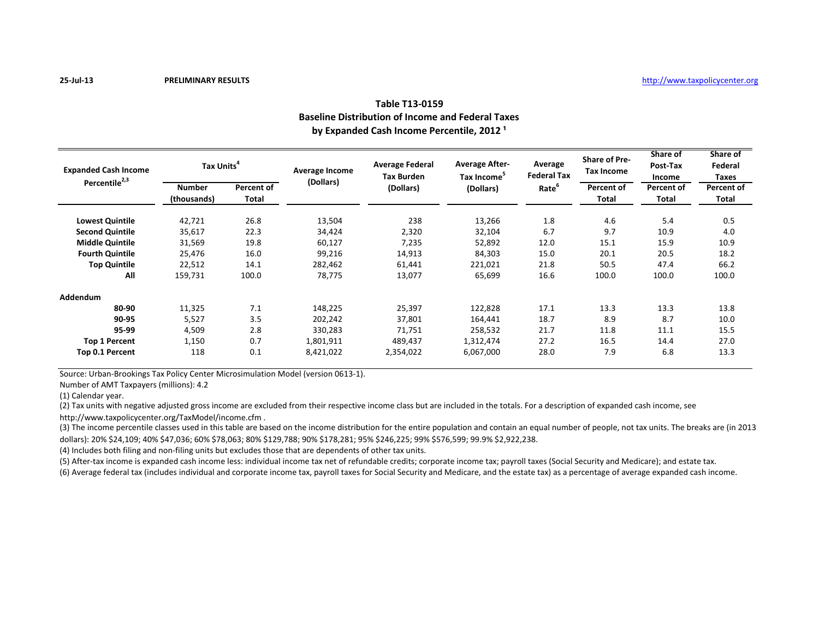# **Table T13-0159 Baseline Distribution of Income and Federal Taxes** by Expanded Cash Income Percentile, 2012<sup>1</sup>

| <b>Expanded Cash Income</b><br>Percentile <sup>2,3</sup> | Tax Units <sup>4</sup> |              | Average Income<br>(Dollars) | <b>Average Federal</b><br><b>Tax Burden</b> | <b>Average After-</b><br>Tax Income <sup>5</sup> | Average<br><b>Federal Tax</b> | <b>Share of Pre-</b><br><b>Tax Income</b> | Share of<br>Post-Tax<br>Income | Share of<br>Federal<br>Taxes |
|----------------------------------------------------------|------------------------|--------------|-----------------------------|---------------------------------------------|--------------------------------------------------|-------------------------------|-------------------------------------------|--------------------------------|------------------------------|
|                                                          | <b>Number</b>          | Percent of   |                             | (Dollars)                                   | (Dollars)                                        | Rate <sup>b</sup>             | Percent of                                | Percent of                     | Percent of                   |
|                                                          | (thousands)            | <b>Total</b> |                             |                                             |                                                  |                               | <b>Total</b>                              | <b>Total</b>                   | Total                        |
| <b>Lowest Quintile</b>                                   | 42,721                 | 26.8         | 13,504                      | 238                                         | 13,266                                           | 1.8                           | 4.6                                       | 5.4                            | 0.5                          |
| <b>Second Quintile</b>                                   | 35,617                 | 22.3         | 34,424                      | 2,320                                       | 32,104                                           | 6.7                           | 9.7                                       | 10.9                           | 4.0                          |
| <b>Middle Quintile</b>                                   | 31,569                 | 19.8         | 60,127                      | 7,235                                       | 52,892                                           | 12.0                          | 15.1                                      | 15.9                           | 10.9                         |
| <b>Fourth Quintile</b>                                   | 25,476                 | 16.0         | 99,216                      | 14,913                                      | 84,303                                           | 15.0                          | 20.1                                      | 20.5                           | 18.2                         |
| <b>Top Quintile</b>                                      | 22,512                 | 14.1         | 282,462                     | 61,441                                      | 221,021                                          | 21.8                          | 50.5                                      | 47.4                           | 66.2                         |
| All                                                      | 159,731                | 100.0        | 78,775                      | 13,077                                      | 65,699                                           | 16.6                          | 100.0                                     | 100.0                          | 100.0                        |
| Addendum                                                 |                        |              |                             |                                             |                                                  |                               |                                           |                                |                              |
| 80-90                                                    | 11,325                 | 7.1          | 148,225                     | 25,397                                      | 122,828                                          | 17.1                          | 13.3                                      | 13.3                           | 13.8                         |
| 90-95                                                    | 5,527                  | 3.5          | 202,242                     | 37,801                                      | 164,441                                          | 18.7                          | 8.9                                       | 8.7                            | 10.0                         |
| 95-99                                                    | 4,509                  | 2.8          | 330,283                     | 71,751                                      | 258,532                                          | 21.7                          | 11.8                                      | 11.1                           | 15.5                         |
| <b>Top 1 Percent</b>                                     | 1,150                  | 0.7          | 1,801,911                   | 489,437                                     | 1,312,474                                        | 27.2                          | 16.5                                      | 14.4                           | 27.0                         |
| Top 0.1 Percent                                          | 118                    | 0.1          | 8,421,022                   | 2,354,022                                   | 6,067,000                                        | 28.0                          | 7.9                                       | 6.8                            | 13.3                         |

Source: Urban-Brookings Tax Policy Center Microsimulation Model (version 0613-1).

Number of AMT Taxpayers (millions): 4.2

(1) Calendar year.

(2) Tax units with negative adjusted gross income are excluded from their respective income class but are included in the totals. For a description of expanded cash income, see

http://www.taxpolicycenter.org/TaxModel/income.cfm .

(3) The income percentile classes used in this table are based on the income distribution for the entire population and contain an equal number of people, not tax units. The breaks are (in 2013 dollars): 20% \$24,109; 40% \$47,036; 60% \$78,063; 80% \$129,788; 90% \$178,281; 95% \$246,225; 99% \$576,599; 99.9% \$2,922,238.

(4) Includes both filing and non-filing units but excludes those that are dependents of other tax units.

(5) After-tax income is expanded cash income less: individual income tax net of refundable credits; corporate income tax; payroll taxes (Social Security and Medicare); and estate tax.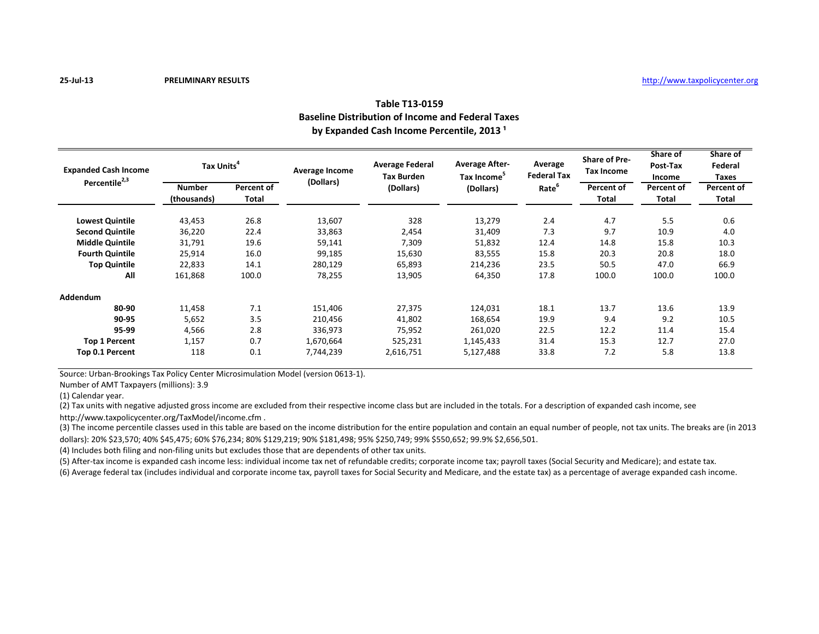# **Table T13-0159 Baseline Distribution of Income and Federal Taxes** by Expanded Cash Income Percentile, 2013<sup>1</sup>

| <b>Expanded Cash Income</b><br>Percentile <sup>2,3</sup> | Tax Units <sup>4</sup> |              | Average Income<br>(Dollars) | <b>Average Federal</b><br><b>Tax Burden</b> | <b>Average After-</b><br>Tax Income <sup>5</sup> | Average<br><b>Federal Tax</b> | <b>Share of Pre-</b><br>Tax Income | Share of<br>Post-Tax<br>Income | Share of<br>Federal<br>Taxes |
|----------------------------------------------------------|------------------------|--------------|-----------------------------|---------------------------------------------|--------------------------------------------------|-------------------------------|------------------------------------|--------------------------------|------------------------------|
|                                                          | <b>Number</b>          | Percent of   |                             | (Dollars)                                   | (Dollars)                                        | Rate <sup>b</sup>             | Percent of                         | Percent of                     | Percent of                   |
|                                                          | (thousands)            | <b>Total</b> |                             |                                             |                                                  |                               | <b>Total</b>                       | <b>Total</b>                   | Total                        |
| <b>Lowest Quintile</b>                                   | 43,453                 | 26.8         | 13,607                      | 328                                         | 13,279                                           | 2.4                           | 4.7                                | 5.5                            | 0.6                          |
| <b>Second Quintile</b>                                   | 36,220                 | 22.4         | 33,863                      | 2,454                                       | 31,409                                           | 7.3                           | 9.7                                | 10.9                           | 4.0                          |
| <b>Middle Quintile</b>                                   | 31,791                 | 19.6         | 59,141                      | 7,309                                       | 51,832                                           | 12.4                          | 14.8                               | 15.8                           | 10.3                         |
| <b>Fourth Quintile</b>                                   | 25,914                 | 16.0         | 99,185                      | 15,630                                      | 83,555                                           | 15.8                          | 20.3                               | 20.8                           | 18.0                         |
| <b>Top Quintile</b>                                      | 22,833                 | 14.1         | 280,129                     | 65,893                                      | 214,236                                          | 23.5                          | 50.5                               | 47.0                           | 66.9                         |
| All                                                      | 161,868                | 100.0        | 78,255                      | 13,905                                      | 64,350                                           | 17.8                          | 100.0                              | 100.0                          | 100.0                        |
| Addendum                                                 |                        |              |                             |                                             |                                                  |                               |                                    |                                |                              |
| 80-90                                                    | 11,458                 | 7.1          | 151,406                     | 27,375                                      | 124,031                                          | 18.1                          | 13.7                               | 13.6                           | 13.9                         |
| 90-95                                                    | 5,652                  | 3.5          | 210,456                     | 41,802                                      | 168,654                                          | 19.9                          | 9.4                                | 9.2                            | 10.5                         |
| 95-99                                                    | 4,566                  | 2.8          | 336,973                     | 75,952                                      | 261,020                                          | 22.5                          | 12.2                               | 11.4                           | 15.4                         |
| <b>Top 1 Percent</b>                                     | 1,157                  | 0.7          | 1,670,664                   | 525,231                                     | 1,145,433                                        | 31.4                          | 15.3                               | 12.7                           | 27.0                         |
| Top 0.1 Percent                                          | 118                    | 0.1          | 7,744,239                   | 2,616,751                                   | 5,127,488                                        | 33.8                          | 7.2                                | 5.8                            | 13.8                         |

Source: Urban-Brookings Tax Policy Center Microsimulation Model (version 0613-1).

Number of AMT Taxpayers (millions): 3.9

(1) Calendar year.

(2) Tax units with negative adjusted gross income are excluded from their respective income class but are included in the totals. For a description of expanded cash income, see

http://www.taxpolicycenter.org/TaxModel/income.cfm .

(3) The income percentile classes used in this table are based on the income distribution for the entire population and contain an equal number of people, not tax units. The breaks are (in 2013 dollars): 20% \$23,570; 40% \$45,475; 60% \$76,234; 80% \$129,219; 90% \$181,498; 95% \$250,749; 99% \$550,652; 99.9% \$2,656,501.

(4) Includes both filing and non-filing units but excludes those that are dependents of other tax units.

(5) After-tax income is expanded cash income less: individual income tax net of refundable credits; corporate income tax; payroll taxes (Social Security and Medicare); and estate tax.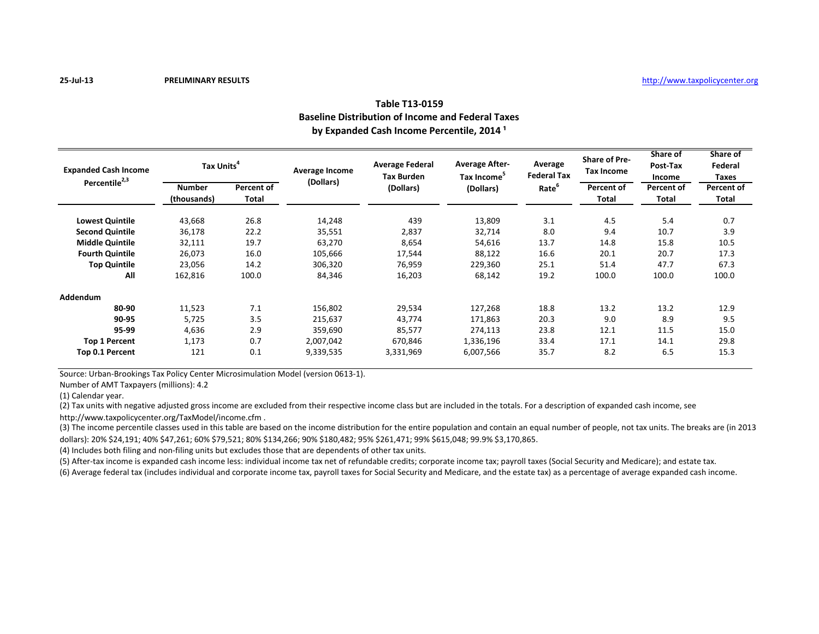# **Table T13-0159 Baseline Distribution of Income and Federal Taxes** by Expanded Cash Income Percentile, 2014<sup>1</sup>

| <b>Expanded Cash Income</b><br>Percentile <sup>2,3</sup> | Tax Units <sup>4</sup> |              | Average Income<br>(Dollars) | <b>Average Federal</b><br><b>Tax Burden</b> | <b>Average After-</b><br>Tax Income <sup>5</sup> | Average<br><b>Federal Tax</b> | <b>Share of Pre-</b><br>Tax Income | Share of<br>Post-Tax<br>Income | Share of<br>Federal<br>Taxes |
|----------------------------------------------------------|------------------------|--------------|-----------------------------|---------------------------------------------|--------------------------------------------------|-------------------------------|------------------------------------|--------------------------------|------------------------------|
|                                                          | <b>Number</b>          | Percent of   |                             | (Dollars)                                   | (Dollars)                                        | Rate <sup>b</sup>             | Percent of                         | Percent of                     | Percent of                   |
|                                                          | (thousands)            | <b>Total</b> |                             |                                             |                                                  |                               | <b>Total</b>                       | <b>Total</b>                   | Total                        |
| <b>Lowest Quintile</b>                                   | 43,668                 | 26.8         | 14,248                      | 439                                         | 13,809                                           | 3.1                           | 4.5                                | 5.4                            | 0.7                          |
| <b>Second Quintile</b>                                   | 36,178                 | 22.2         | 35,551                      | 2,837                                       | 32,714                                           | 8.0                           | 9.4                                | 10.7                           | 3.9                          |
| <b>Middle Quintile</b>                                   | 32,111                 | 19.7         | 63,270                      | 8,654                                       | 54,616                                           | 13.7                          | 14.8                               | 15.8                           | 10.5                         |
| <b>Fourth Quintile</b>                                   | 26,073                 | 16.0         | 105,666                     | 17,544                                      | 88,122                                           | 16.6                          | 20.1                               | 20.7                           | 17.3                         |
| <b>Top Quintile</b>                                      | 23,056                 | 14.2         | 306,320                     | 76,959                                      | 229,360                                          | 25.1                          | 51.4                               | 47.7                           | 67.3                         |
| All                                                      | 162,816                | 100.0        | 84,346                      | 16,203                                      | 68,142                                           | 19.2                          | 100.0                              | 100.0                          | 100.0                        |
| Addendum                                                 |                        |              |                             |                                             |                                                  |                               |                                    |                                |                              |
| 80-90                                                    | 11,523                 | 7.1          | 156,802                     | 29,534                                      | 127,268                                          | 18.8                          | 13.2                               | 13.2                           | 12.9                         |
| 90-95                                                    | 5,725                  | 3.5          | 215,637                     | 43,774                                      | 171,863                                          | 20.3                          | 9.0                                | 8.9                            | 9.5                          |
| 95-99                                                    | 4,636                  | 2.9          | 359,690                     | 85,577                                      | 274,113                                          | 23.8                          | 12.1                               | 11.5                           | 15.0                         |
| <b>Top 1 Percent</b>                                     | 1,173                  | 0.7          | 2,007,042                   | 670,846                                     | 1,336,196                                        | 33.4                          | 17.1                               | 14.1                           | 29.8                         |
| Top 0.1 Percent                                          | 121                    | 0.1          | 9,339,535                   | 3,331,969                                   | 6,007,566                                        | 35.7                          | 8.2                                | 6.5                            | 15.3                         |

Source: Urban-Brookings Tax Policy Center Microsimulation Model (version 0613-1).

Number of AMT Taxpayers (millions): 4.2

(1) Calendar year.

(2) Tax units with negative adjusted gross income are excluded from their respective income class but are included in the totals. For a description of expanded cash income, see

http://www.taxpolicycenter.org/TaxModel/income.cfm .

(3) The income percentile classes used in this table are based on the income distribution for the entire population and contain an equal number of people, not tax units. The breaks are (in 2013 dollars): 20% \$24,191; 40% \$47,261; 60% \$79,521; 80% \$134,266; 90% \$180,482; 95% \$261,471; 99% \$615,048; 99.9% \$3,170,865.

(4) Includes both filing and non-filing units but excludes those that are dependents of other tax units.

(5) After-tax income is expanded cash income less: individual income tax net of refundable credits; corporate income tax; payroll taxes (Social Security and Medicare); and estate tax.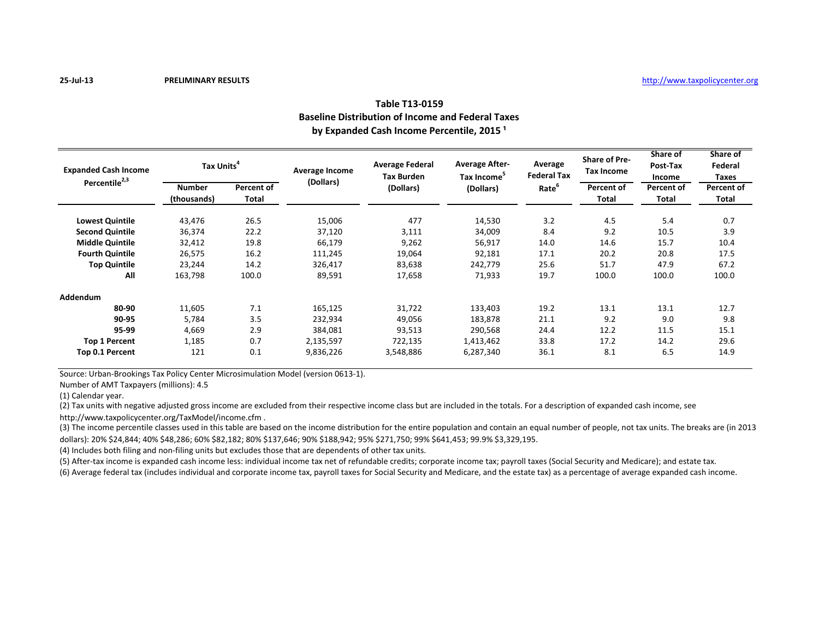# **Table T13-0159 Baseline Distribution of Income and Federal Taxes** by Expanded Cash Income Percentile, 2015<sup>1</sup>

| <b>Expanded Cash Income</b><br>Percentile <sup>2,3</sup> | Tax Units <sup>4</sup> |              | Average Income<br>(Dollars) | <b>Average Federal</b><br><b>Tax Burden</b> | <b>Average After-</b><br>Tax Income <sup>5</sup> | Average<br><b>Federal Tax</b> | <b>Share of Pre-</b><br>Tax Income | Share of<br>Post-Tax<br>Income | Share of<br>Federal<br>Taxes |
|----------------------------------------------------------|------------------------|--------------|-----------------------------|---------------------------------------------|--------------------------------------------------|-------------------------------|------------------------------------|--------------------------------|------------------------------|
|                                                          | <b>Number</b>          | Percent of   |                             | (Dollars)                                   | (Dollars)                                        | Rate <sup>b</sup>             | Percent of                         | Percent of                     | Percent of                   |
|                                                          | (thousands)            | <b>Total</b> |                             |                                             |                                                  |                               | <b>Total</b>                       | <b>Total</b>                   | Total                        |
| <b>Lowest Quintile</b>                                   | 43,476                 | 26.5         | 15,006                      | 477                                         | 14,530                                           | 3.2                           | 4.5                                | 5.4                            | 0.7                          |
| <b>Second Quintile</b>                                   | 36,374                 | 22.2         | 37,120                      | 3,111                                       | 34,009                                           | 8.4                           | 9.2                                | 10.5                           | 3.9                          |
| <b>Middle Quintile</b>                                   | 32,412                 | 19.8         | 66,179                      | 9,262                                       | 56,917                                           | 14.0                          | 14.6                               | 15.7                           | 10.4                         |
| <b>Fourth Quintile</b>                                   | 26,575                 | 16.2         | 111,245                     | 19,064                                      | 92,181                                           | 17.1                          | 20.2                               | 20.8                           | 17.5                         |
| <b>Top Quintile</b>                                      | 23,244                 | 14.2         | 326,417                     | 83,638                                      | 242,779                                          | 25.6                          | 51.7                               | 47.9                           | 67.2                         |
| All                                                      | 163,798                | 100.0        | 89,591                      | 17,658                                      | 71,933                                           | 19.7                          | 100.0                              | 100.0                          | 100.0                        |
| Addendum                                                 |                        |              |                             |                                             |                                                  |                               |                                    |                                |                              |
| 80-90                                                    | 11,605                 | 7.1          | 165,125                     | 31,722                                      | 133,403                                          | 19.2                          | 13.1                               | 13.1                           | 12.7                         |
| 90-95                                                    | 5,784                  | 3.5          | 232,934                     | 49,056                                      | 183,878                                          | 21.1                          | 9.2                                | 9.0                            | 9.8                          |
| 95-99                                                    | 4,669                  | 2.9          | 384,081                     | 93,513                                      | 290,568                                          | 24.4                          | 12.2                               | 11.5                           | 15.1                         |
| <b>Top 1 Percent</b>                                     | 1,185                  | 0.7          | 2,135,597                   | 722,135                                     | 1,413,462                                        | 33.8                          | 17.2                               | 14.2                           | 29.6                         |
| Top 0.1 Percent                                          | 121                    | 0.1          | 9,836,226                   | 3,548,886                                   | 6,287,340                                        | 36.1                          | 8.1                                | 6.5                            | 14.9                         |

Source: Urban-Brookings Tax Policy Center Microsimulation Model (version 0613-1).

Number of AMT Taxpayers (millions): 4.5

(1) Calendar year.

(2) Tax units with negative adjusted gross income are excluded from their respective income class but are included in the totals. For a description of expanded cash income, see

http://www.taxpolicycenter.org/TaxModel/income.cfm .

(3) The income percentile classes used in this table are based on the income distribution for the entire population and contain an equal number of people, not tax units. The breaks are (in 2013 dollars): 20% \$24,844; 40% \$48,286; 60% \$82,182; 80% \$137,646; 90% \$188,942; 95% \$271,750; 99% \$641,453; 99.9% \$3,329,195.

(4) Includes both filing and non-filing units but excludes those that are dependents of other tax units.

(5) After-tax income is expanded cash income less: individual income tax net of refundable credits; corporate income tax; payroll taxes (Social Security and Medicare); and estate tax.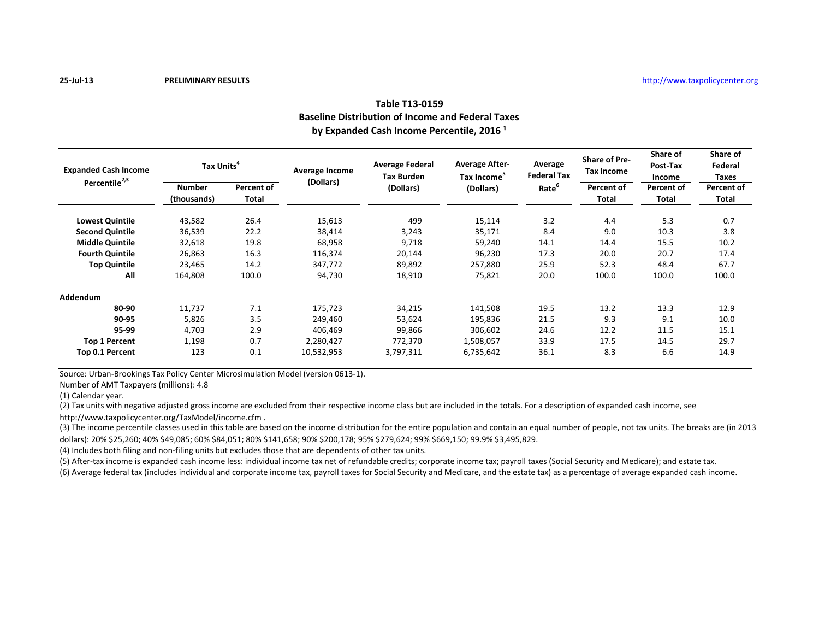# **Table T13-0159 Baseline Distribution of Income and Federal Taxes** by Expanded Cash Income Percentile, 2016<sup>1</sup>

| <b>Expanded Cash Income</b> | Tax Units <sup>4</sup> |              | Average Income | <b>Average Federal</b><br><b>Tax Burden</b> | <b>Average After-</b><br>Tax Income <sup>5</sup> | Average<br><b>Federal Tax</b> | <b>Share of Pre-</b><br>Tax Income | Share of<br>Post-Tax<br>Income | Share of<br>Federal<br>Taxes |
|-----------------------------|------------------------|--------------|----------------|---------------------------------------------|--------------------------------------------------|-------------------------------|------------------------------------|--------------------------------|------------------------------|
| Percentile <sup>2,3</sup>   | <b>Number</b>          | Percent of   | (Dollars)      | (Dollars)                                   | (Dollars)                                        | Rate <sup>b</sup>             | Percent of                         | Percent of                     | Percent of                   |
|                             | (thousands)            | <b>Total</b> |                |                                             |                                                  |                               | <b>Total</b>                       | <b>Total</b>                   | Total                        |
| <b>Lowest Quintile</b>      | 43,582                 | 26.4         | 15,613         | 499                                         | 15,114                                           | 3.2                           | 4.4                                | 5.3                            | 0.7                          |
| <b>Second Quintile</b>      | 36,539                 | 22.2         | 38,414         | 3,243                                       | 35,171                                           | 8.4                           | 9.0                                | 10.3                           | 3.8                          |
| <b>Middle Quintile</b>      | 32,618                 | 19.8         | 68,958         | 9,718                                       | 59,240                                           | 14.1                          | 14.4                               | 15.5                           | 10.2                         |
| <b>Fourth Quintile</b>      | 26,863                 | 16.3         | 116,374        | 20,144                                      | 96,230                                           | 17.3                          | 20.0                               | 20.7                           | 17.4                         |
| <b>Top Quintile</b>         | 23,465                 | 14.2         | 347,772        | 89,892                                      | 257,880                                          | 25.9                          | 52.3                               | 48.4                           | 67.7                         |
| All                         | 164,808                | 100.0        | 94,730         | 18,910                                      | 75,821                                           | 20.0                          | 100.0                              | 100.0                          | 100.0                        |
| Addendum                    |                        |              |                |                                             |                                                  |                               |                                    |                                |                              |
| 80-90                       | 11,737                 | 7.1          | 175,723        | 34,215                                      | 141,508                                          | 19.5                          | 13.2                               | 13.3                           | 12.9                         |
| 90-95                       | 5,826                  | 3.5          | 249,460        | 53,624                                      | 195,836                                          | 21.5                          | 9.3                                | 9.1                            | 10.0                         |
| 95-99                       | 4,703                  | 2.9          | 406,469        | 99,866                                      | 306,602                                          | 24.6                          | 12.2                               | 11.5                           | 15.1                         |
| <b>Top 1 Percent</b>        | 1,198                  | 0.7          | 2,280,427      | 772,370                                     | 1,508,057                                        | 33.9                          | 17.5                               | 14.5                           | 29.7                         |
| Top 0.1 Percent             | 123                    | 0.1          | 10,532,953     | 3,797,311                                   | 6,735,642                                        | 36.1                          | 8.3                                | 6.6                            | 14.9                         |

Source: Urban-Brookings Tax Policy Center Microsimulation Model (version 0613-1).

Number of AMT Taxpayers (millions): 4.8

(1) Calendar year.

(2) Tax units with negative adjusted gross income are excluded from their respective income class but are included in the totals. For a description of expanded cash income, see

http://www.taxpolicycenter.org/TaxModel/income.cfm .

(3) The income percentile classes used in this table are based on the income distribution for the entire population and contain an equal number of people, not tax units. The breaks are (in 2013 dollars): 20% \$25,260; 40% \$49,085; 60% \$84,051; 80% \$141,658; 90% \$200,178; 95% \$279,624; 99% \$669,150; 99.9% \$3,495,829.

(4) Includes both filing and non-filing units but excludes those that are dependents of other tax units.

(5) After-tax income is expanded cash income less: individual income tax net of refundable credits; corporate income tax; payroll taxes (Social Security and Medicare); and estate tax.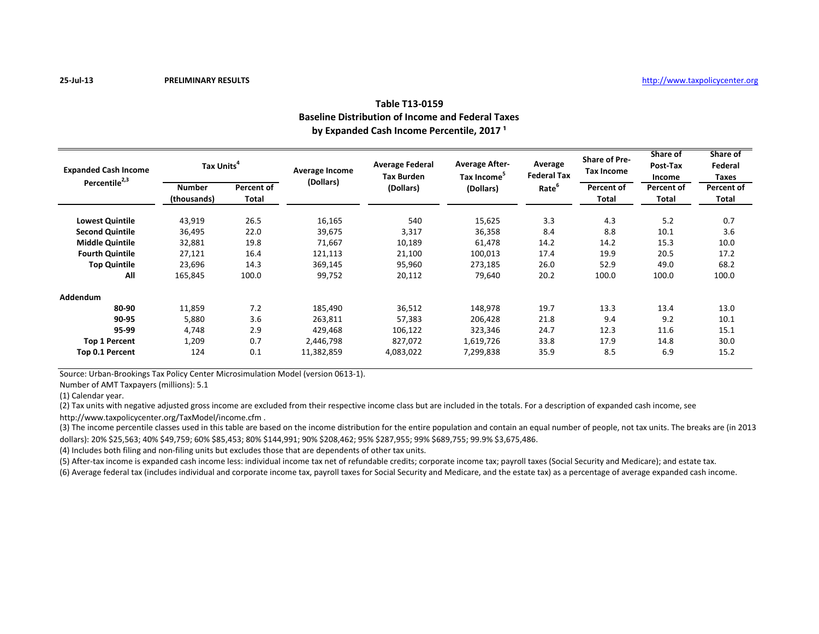# **Table T13-0159 Baseline Distribution of Income and Federal Taxes** by Expanded Cash Income Percentile, 2017<sup>1</sup>

| <b>Expanded Cash Income</b> | Tax Units <sup>4</sup> |              | Average Income | <b>Average Federal</b><br><b>Tax Burden</b> | <b>Average After-</b><br>Tax Income <sup>5</sup> | Average<br><b>Federal Tax</b> | <b>Share of Pre-</b><br><b>Tax Income</b> | Share of<br>Post-Tax<br>Income | Share of<br>Federal<br>Taxes |
|-----------------------------|------------------------|--------------|----------------|---------------------------------------------|--------------------------------------------------|-------------------------------|-------------------------------------------|--------------------------------|------------------------------|
| Percentile <sup>2,3</sup>   | <b>Number</b>          | Percent of   | (Dollars)      | (Dollars)                                   | (Dollars)                                        | Rate <sup>b</sup>             | Percent of                                | Percent of                     | Percent of                   |
|                             | (thousands)            | <b>Total</b> |                |                                             |                                                  |                               | <b>Total</b>                              | <b>Total</b>                   | Total                        |
| <b>Lowest Quintile</b>      | 43,919                 | 26.5         | 16,165         | 540                                         | 15,625                                           | 3.3                           | 4.3                                       | 5.2                            | 0.7                          |
| <b>Second Quintile</b>      | 36,495                 | 22.0         | 39,675         | 3,317                                       | 36,358                                           | 8.4                           | 8.8                                       | 10.1                           | 3.6                          |
| <b>Middle Quintile</b>      | 32,881                 | 19.8         | 71,667         | 10,189                                      | 61,478                                           | 14.2                          | 14.2                                      | 15.3                           | 10.0                         |
| <b>Fourth Quintile</b>      | 27,121                 | 16.4         | 121,113        | 21,100                                      | 100,013                                          | 17.4                          | 19.9                                      | 20.5                           | 17.2                         |
| <b>Top Quintile</b>         | 23,696                 | 14.3         | 369,145        | 95,960                                      | 273,185                                          | 26.0                          | 52.9                                      | 49.0                           | 68.2                         |
| All                         | 165,845                | 100.0        | 99,752         | 20,112                                      | 79,640                                           | 20.2                          | 100.0                                     | 100.0                          | 100.0                        |
| Addendum                    |                        |              |                |                                             |                                                  |                               |                                           |                                |                              |
| 80-90                       | 11,859                 | 7.2          | 185,490        | 36,512                                      | 148,978                                          | 19.7                          | 13.3                                      | 13.4                           | 13.0                         |
| 90-95                       | 5,880                  | 3.6          | 263,811        | 57,383                                      | 206,428                                          | 21.8                          | 9.4                                       | 9.2                            | 10.1                         |
| 95-99                       | 4,748                  | 2.9          | 429,468        | 106,122                                     | 323,346                                          | 24.7                          | 12.3                                      | 11.6                           | 15.1                         |
| <b>Top 1 Percent</b>        | 1,209                  | 0.7          | 2,446,798      | 827,072                                     | 1,619,726                                        | 33.8                          | 17.9                                      | 14.8                           | 30.0                         |
| Top 0.1 Percent             | 124                    | 0.1          | 11,382,859     | 4,083,022                                   | 7,299,838                                        | 35.9                          | 8.5                                       | 6.9                            | 15.2                         |

Source: Urban-Brookings Tax Policy Center Microsimulation Model (version 0613-1).

Number of AMT Taxpayers (millions): 5.1

(1) Calendar year.

(2) Tax units with negative adjusted gross income are excluded from their respective income class but are included in the totals. For a description of expanded cash income, see

http://www.taxpolicycenter.org/TaxModel/income.cfm .

(3) The income percentile classes used in this table are based on the income distribution for the entire population and contain an equal number of people, not tax units. The breaks are (in 2013 dollars): 20% \$25,563; 40% \$49,759; 60% \$85,453; 80% \$144,991; 90% \$208,462; 95% \$287,955; 99% \$689,755; 99.9% \$3,675,486.

(4) Includes both filing and non-filing units but excludes those that are dependents of other tax units.

(5) After-tax income is expanded cash income less: individual income tax net of refundable credits; corporate income tax; payroll taxes (Social Security and Medicare); and estate tax.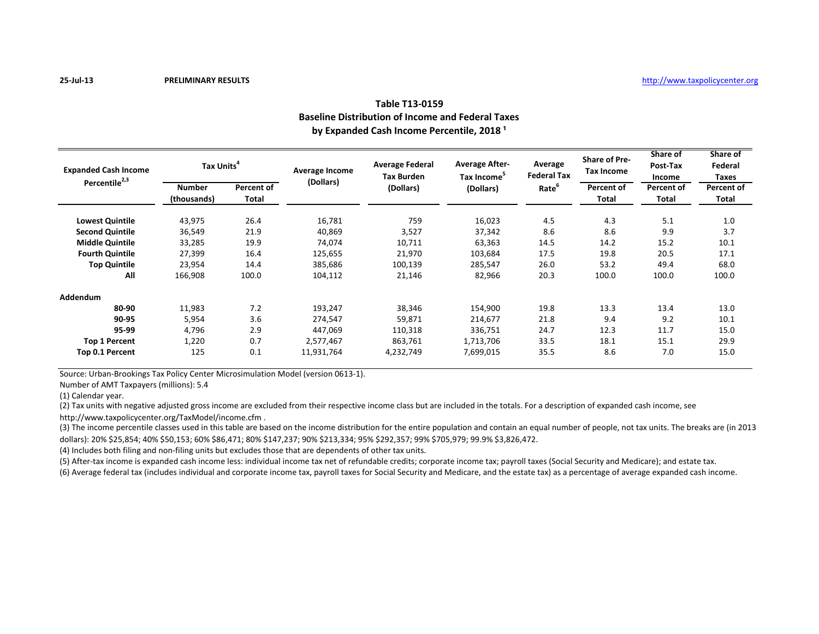# **Table T13-0159 Baseline Distribution of Income and Federal Taxes** by Expanded Cash Income Percentile, 2018<sup>1</sup>

| <b>Expanded Cash Income</b> | Tax Units <sup>4</sup> |              | Average Income | <b>Average Federal</b><br><b>Tax Burden</b> | <b>Average After-</b><br>Tax Income <sup>5</sup> | Average<br><b>Federal Tax</b> | <b>Share of Pre-</b><br>Tax Income | Share of<br>Post-Tax<br>Income | Share of<br>Federal<br>Taxes |
|-----------------------------|------------------------|--------------|----------------|---------------------------------------------|--------------------------------------------------|-------------------------------|------------------------------------|--------------------------------|------------------------------|
| Percentile <sup>2,3</sup>   | <b>Number</b>          | Percent of   | (Dollars)      | (Dollars)                                   | (Dollars)                                        | Rate <sup>b</sup>             | Percent of                         | Percent of                     | Percent of                   |
|                             | (thousands)            | <b>Total</b> |                |                                             |                                                  |                               | <b>Total</b>                       | <b>Total</b>                   | Total                        |
| <b>Lowest Quintile</b>      | 43,975                 | 26.4         | 16,781         | 759                                         | 16,023                                           | 4.5                           | 4.3                                | 5.1                            | 1.0                          |
| <b>Second Quintile</b>      | 36,549                 | 21.9         | 40,869         | 3,527                                       | 37,342                                           | 8.6                           | 8.6                                | 9.9                            | 3.7                          |
| <b>Middle Quintile</b>      | 33,285                 | 19.9         | 74,074         | 10,711                                      | 63,363                                           | 14.5                          | 14.2                               | 15.2                           | 10.1                         |
| <b>Fourth Quintile</b>      | 27,399                 | 16.4         | 125,655        | 21,970                                      | 103,684                                          | 17.5                          | 19.8                               | 20.5                           | 17.1                         |
| <b>Top Quintile</b>         | 23,954                 | 14.4         | 385,686        | 100,139                                     | 285,547                                          | 26.0                          | 53.2                               | 49.4                           | 68.0                         |
| All                         | 166,908                | 100.0        | 104,112        | 21,146                                      | 82,966                                           | 20.3                          | 100.0                              | 100.0                          | 100.0                        |
| Addendum                    |                        |              |                |                                             |                                                  |                               |                                    |                                |                              |
| 80-90                       | 11,983                 | 7.2          | 193,247        | 38,346                                      | 154,900                                          | 19.8                          | 13.3                               | 13.4                           | 13.0                         |
| 90-95                       | 5,954                  | 3.6          | 274,547        | 59,871                                      | 214,677                                          | 21.8                          | 9.4                                | 9.2                            | 10.1                         |
| 95-99                       | 4,796                  | 2.9          | 447,069        | 110,318                                     | 336,751                                          | 24.7                          | 12.3                               | 11.7                           | 15.0                         |
| <b>Top 1 Percent</b>        | 1,220                  | 0.7          | 2,577,467      | 863,761                                     | 1,713,706                                        | 33.5                          | 18.1                               | 15.1                           | 29.9                         |
| Top 0.1 Percent             | 125                    | 0.1          | 11,931,764     | 4,232,749                                   | 7,699,015                                        | 35.5                          | 8.6                                | 7.0                            | 15.0                         |

Source: Urban-Brookings Tax Policy Center Microsimulation Model (version 0613-1).

Number of AMT Taxpayers (millions): 5.4

(1) Calendar year.

(2) Tax units with negative adjusted gross income are excluded from their respective income class but are included in the totals. For a description of expanded cash income, see

http://www.taxpolicycenter.org/TaxModel/income.cfm .

(3) The income percentile classes used in this table are based on the income distribution for the entire population and contain an equal number of people, not tax units. The breaks are (in 2013 dollars): 20% \$25,854; 40% \$50,153; 60% \$86,471; 80% \$147,237; 90% \$213,334; 95% \$292,357; 99% \$705,979; 99.9% \$3,826,472.

(4) Includes both filing and non-filing units but excludes those that are dependents of other tax units.

(5) After-tax income is expanded cash income less: individual income tax net of refundable credits; corporate income tax; payroll taxes (Social Security and Medicare); and estate tax.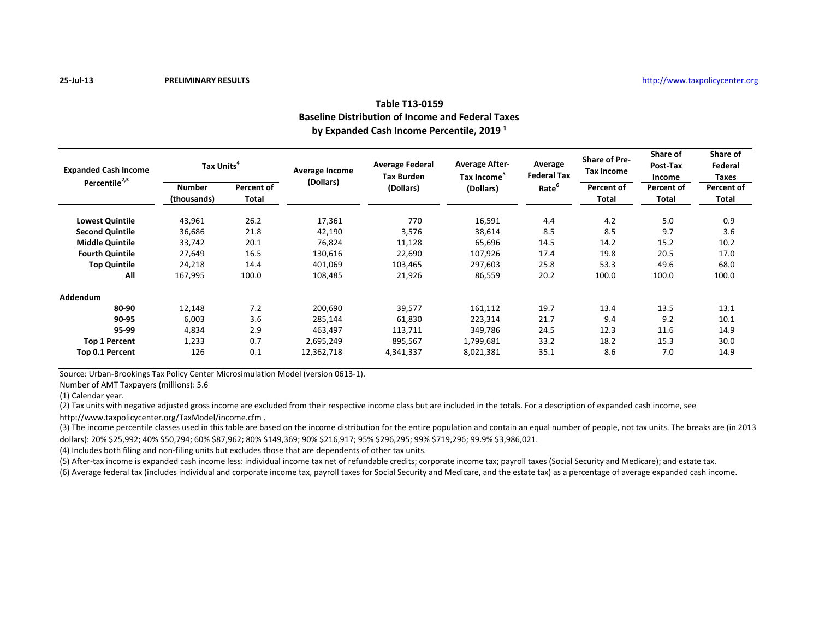# **Table T13-0159 Baseline Distribution of Income and Federal Taxes** by Expanded Cash Income Percentile, 2019<sup>1</sup>

| <b>Expanded Cash Income</b><br>Percentile <sup>2,3</sup> | Tax Units <sup>4</sup> |              | Average Income | <b>Average Federal</b><br><b>Tax Burden</b> | <b>Average After-</b><br>Tax Income <sup>5</sup> | Average<br><b>Federal Tax</b> | <b>Share of Pre-</b><br>Tax Income | Share of<br>Post-Tax<br>Income | Share of<br>Federal<br>Taxes |
|----------------------------------------------------------|------------------------|--------------|----------------|---------------------------------------------|--------------------------------------------------|-------------------------------|------------------------------------|--------------------------------|------------------------------|
|                                                          | <b>Number</b>          | Percent of   | (Dollars)      | (Dollars)                                   | (Dollars)                                        | Rate <sup>b</sup>             | Percent of                         | Percent of                     | Percent of                   |
|                                                          | (thousands)            | <b>Total</b> |                |                                             |                                                  |                               | <b>Total</b>                       | <b>Total</b>                   | Total                        |
| <b>Lowest Quintile</b>                                   | 43,961                 | 26.2         | 17,361         | 770                                         | 16,591                                           | 4.4                           | 4.2                                | 5.0                            | 0.9                          |
| <b>Second Quintile</b>                                   | 36,686                 | 21.8         | 42,190         | 3,576                                       | 38,614                                           | 8.5                           | 8.5                                | 9.7                            | 3.6                          |
| <b>Middle Quintile</b>                                   | 33,742                 | 20.1         | 76,824         | 11,128                                      | 65,696                                           | 14.5                          | 14.2                               | 15.2                           | 10.2                         |
| <b>Fourth Quintile</b>                                   | 27,649                 | 16.5         | 130,616        | 22,690                                      | 107,926                                          | 17.4                          | 19.8                               | 20.5                           | 17.0                         |
| <b>Top Quintile</b>                                      | 24,218                 | 14.4         | 401,069        | 103,465                                     | 297,603                                          | 25.8                          | 53.3                               | 49.6                           | 68.0                         |
| All                                                      | 167,995                | 100.0        | 108,485        | 21,926                                      | 86,559                                           | 20.2                          | 100.0                              | 100.0                          | 100.0                        |
| Addendum                                                 |                        |              |                |                                             |                                                  |                               |                                    |                                |                              |
| 80-90                                                    | 12,148                 | 7.2          | 200,690        | 39,577                                      | 161,112                                          | 19.7                          | 13.4                               | 13.5                           | 13.1                         |
| 90-95                                                    | 6,003                  | 3.6          | 285,144        | 61,830                                      | 223,314                                          | 21.7                          | 9.4                                | 9.2                            | 10.1                         |
| 95-99                                                    | 4,834                  | 2.9          | 463,497        | 113,711                                     | 349,786                                          | 24.5                          | 12.3                               | 11.6                           | 14.9                         |
| <b>Top 1 Percent</b>                                     | 1,233                  | 0.7          | 2,695,249      | 895,567                                     | 1,799,681                                        | 33.2                          | 18.2                               | 15.3                           | 30.0                         |
| Top 0.1 Percent                                          | 126                    | 0.1          | 12,362,718     | 4,341,337                                   | 8,021,381                                        | 35.1                          | 8.6                                | 7.0                            | 14.9                         |

Source: Urban-Brookings Tax Policy Center Microsimulation Model (version 0613-1).

Number of AMT Taxpayers (millions): 5.6

(1) Calendar year.

(2) Tax units with negative adjusted gross income are excluded from their respective income class but are included in the totals. For a description of expanded cash income, see

http://www.taxpolicycenter.org/TaxModel/income.cfm .

(3) The income percentile classes used in this table are based on the income distribution for the entire population and contain an equal number of people, not tax units. The breaks are (in 2013 dollars): 20% \$25,992; 40% \$50,794; 60% \$87,962; 80% \$149,369; 90% \$216,917; 95% \$296,295; 99% \$719,296; 99.9% \$3,986,021.

(4) Includes both filing and non-filing units but excludes those that are dependents of other tax units.

(5) After-tax income is expanded cash income less: individual income tax net of refundable credits; corporate income tax; payroll taxes (Social Security and Medicare); and estate tax.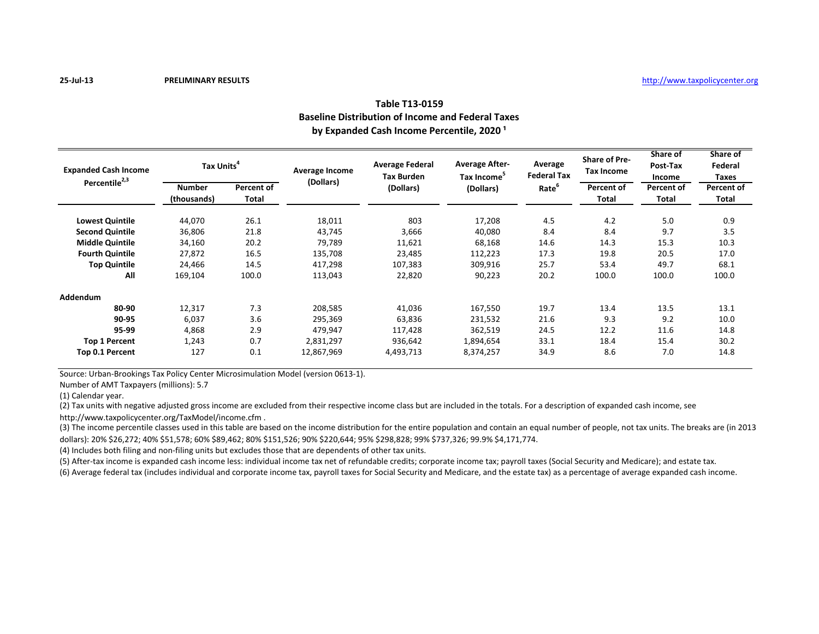# **Table T13-0159 Baseline Distribution of Income and Federal Taxes** by Expanded Cash Income Percentile, 2020<sup>1</sup>

| <b>Expanded Cash Income</b> | Tax Units <sup>4</sup> |              | Average Income | <b>Average Federal</b><br><b>Tax Burden</b> | <b>Average After-</b><br>Tax Income <sup>5</sup> | Average<br><b>Federal Tax</b> | <b>Share of Pre-</b><br>Tax Income | Share of<br>Post-Tax<br>Income | Share of<br>Federal<br>Taxes |
|-----------------------------|------------------------|--------------|----------------|---------------------------------------------|--------------------------------------------------|-------------------------------|------------------------------------|--------------------------------|------------------------------|
| Percentile <sup>2,3</sup>   | <b>Number</b>          | Percent of   | (Dollars)      | (Dollars)                                   | (Dollars)                                        | Rate <sup>b</sup>             | Percent of                         | Percent of                     | Percent of                   |
|                             | (thousands)            | <b>Total</b> |                |                                             |                                                  |                               | <b>Total</b>                       | <b>Total</b>                   | Total                        |
| <b>Lowest Quintile</b>      | 44,070                 | 26.1         | 18,011         | 803                                         | 17,208                                           | 4.5                           | 4.2                                | 5.0                            | 0.9                          |
| <b>Second Quintile</b>      | 36,806                 | 21.8         | 43,745         | 3,666                                       | 40,080                                           | 8.4                           | 8.4                                | 9.7                            | 3.5                          |
| <b>Middle Quintile</b>      | 34,160                 | 20.2         | 79,789         | 11,621                                      | 68,168                                           | 14.6                          | 14.3                               | 15.3                           | 10.3                         |
| <b>Fourth Quintile</b>      | 27,872                 | 16.5         | 135,708        | 23,485                                      | 112,223                                          | 17.3                          | 19.8                               | 20.5                           | 17.0                         |
| <b>Top Quintile</b>         | 24,466                 | 14.5         | 417,298        | 107,383                                     | 309,916                                          | 25.7                          | 53.4                               | 49.7                           | 68.1                         |
| All                         | 169,104                | 100.0        | 113,043        | 22,820                                      | 90,223                                           | 20.2                          | 100.0                              | 100.0                          | 100.0                        |
| Addendum                    |                        |              |                |                                             |                                                  |                               |                                    |                                |                              |
| 80-90                       | 12,317                 | 7.3          | 208,585        | 41,036                                      | 167,550                                          | 19.7                          | 13.4                               | 13.5                           | 13.1                         |
| 90-95                       | 6,037                  | 3.6          | 295,369        | 63,836                                      | 231,532                                          | 21.6                          | 9.3                                | 9.2                            | 10.0                         |
| 95-99                       | 4,868                  | 2.9          | 479,947        | 117,428                                     | 362,519                                          | 24.5                          | 12.2                               | 11.6                           | 14.8                         |
| <b>Top 1 Percent</b>        | 1,243                  | 0.7          | 2,831,297      | 936,642                                     | 1,894,654                                        | 33.1                          | 18.4                               | 15.4                           | 30.2                         |
| Top 0.1 Percent             | 127                    | 0.1          | 12,867,969     | 4,493,713                                   | 8,374,257                                        | 34.9                          | 8.6                                | 7.0                            | 14.8                         |

Source: Urban-Brookings Tax Policy Center Microsimulation Model (version 0613-1).

Number of AMT Taxpayers (millions): 5.7

(1) Calendar year.

(2) Tax units with negative adjusted gross income are excluded from their respective income class but are included in the totals. For a description of expanded cash income, see

http://www.taxpolicycenter.org/TaxModel/income.cfm .

(3) The income percentile classes used in this table are based on the income distribution for the entire population and contain an equal number of people, not tax units. The breaks are (in 2013 dollars): 20% \$26,272; 40% \$51,578; 60% \$89,462; 80% \$151,526; 90% \$220,644; 95% \$298,828; 99% \$737,326; 99.9% \$4,171,774.

(4) Includes both filing and non-filing units but excludes those that are dependents of other tax units.

(5) After-tax income is expanded cash income less: individual income tax net of refundable credits; corporate income tax; payroll taxes (Social Security and Medicare); and estate tax.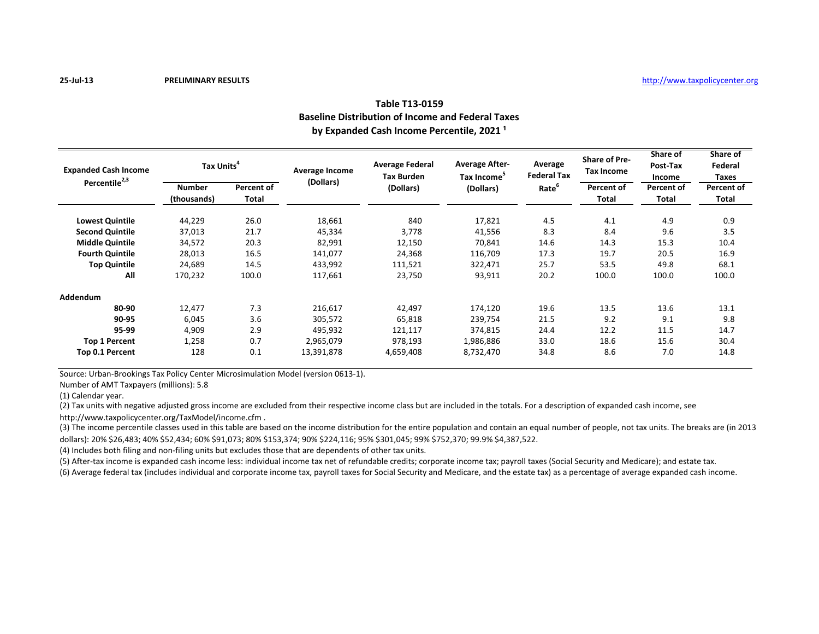# **Table T13-0159 Baseline Distribution of Income and Federal Taxes** by Expanded Cash Income Percentile, 2021<sup>1</sup>

| <b>Expanded Cash Income</b><br>Percentile <sup>2,3</sup> | Tax Units <sup>4</sup> |              | Average Income | <b>Average Federal</b><br><b>Tax Burden</b> | <b>Average After-</b><br>Tax Income <sup>5</sup> | Average<br><b>Federal Tax</b> | <b>Share of Pre-</b><br>Tax Income | Share of<br>Post-Tax<br>Income | Share of<br>Federal<br>Taxes |
|----------------------------------------------------------|------------------------|--------------|----------------|---------------------------------------------|--------------------------------------------------|-------------------------------|------------------------------------|--------------------------------|------------------------------|
|                                                          | <b>Number</b>          | Percent of   | (Dollars)      | (Dollars)                                   | (Dollars)                                        | Rate <sup>b</sup>             | Percent of                         | Percent of                     | Percent of                   |
|                                                          | (thousands)            | <b>Total</b> |                |                                             |                                                  |                               | <b>Total</b>                       | <b>Total</b>                   | Total                        |
| <b>Lowest Quintile</b>                                   | 44,229                 | 26.0         | 18,661         | 840                                         | 17,821                                           | 4.5                           | 4.1                                | 4.9                            | 0.9                          |
| <b>Second Quintile</b>                                   | 37,013                 | 21.7         | 45,334         | 3.778                                       | 41,556                                           | 8.3                           | 8.4                                | 9.6                            | 3.5                          |
| <b>Middle Quintile</b>                                   | 34,572                 | 20.3         | 82,991         | 12,150                                      | 70,841                                           | 14.6                          | 14.3                               | 15.3                           | 10.4                         |
| <b>Fourth Quintile</b>                                   | 28,013                 | 16.5         | 141,077        | 24,368                                      | 116,709                                          | 17.3                          | 19.7                               | 20.5                           | 16.9                         |
| <b>Top Quintile</b>                                      | 24,689                 | 14.5         | 433,992        | 111,521                                     | 322,471                                          | 25.7                          | 53.5                               | 49.8                           | 68.1                         |
| All                                                      | 170,232                | 100.0        | 117,661        | 23,750                                      | 93,911                                           | 20.2                          | 100.0                              | 100.0                          | 100.0                        |
| Addendum                                                 |                        |              |                |                                             |                                                  |                               |                                    |                                |                              |
| 80-90                                                    | 12,477                 | 7.3          | 216,617        | 42,497                                      | 174,120                                          | 19.6                          | 13.5                               | 13.6                           | 13.1                         |
| 90-95                                                    | 6,045                  | 3.6          | 305,572        | 65,818                                      | 239,754                                          | 21.5                          | 9.2                                | 9.1                            | 9.8                          |
| 95-99                                                    | 4,909                  | 2.9          | 495,932        | 121,117                                     | 374,815                                          | 24.4                          | 12.2                               | 11.5                           | 14.7                         |
| <b>Top 1 Percent</b>                                     | 1,258                  | 0.7          | 2,965,079      | 978,193                                     | 1,986,886                                        | 33.0                          | 18.6                               | 15.6                           | 30.4                         |
| Top 0.1 Percent                                          | 128                    | 0.1          | 13,391,878     | 4,659,408                                   | 8,732,470                                        | 34.8                          | 8.6                                | 7.0                            | 14.8                         |

Source: Urban-Brookings Tax Policy Center Microsimulation Model (version 0613-1).

Number of AMT Taxpayers (millions): 5.8

(1) Calendar year.

(2) Tax units with negative adjusted gross income are excluded from their respective income class but are included in the totals. For a description of expanded cash income, see

http://www.taxpolicycenter.org/TaxModel/income.cfm .

(3) The income percentile classes used in this table are based on the income distribution for the entire population and contain an equal number of people, not tax units. The breaks are (in 2013 dollars): 20% \$26,483; 40% \$52,434; 60% \$91,073; 80% \$153,374; 90% \$224,116; 95% \$301,045; 99% \$752,370; 99.9% \$4,387,522.

(4) Includes both filing and non-filing units but excludes those that are dependents of other tax units.

(5) After-tax income is expanded cash income less: individual income tax net of refundable credits; corporate income tax; payroll taxes (Social Security and Medicare); and estate tax.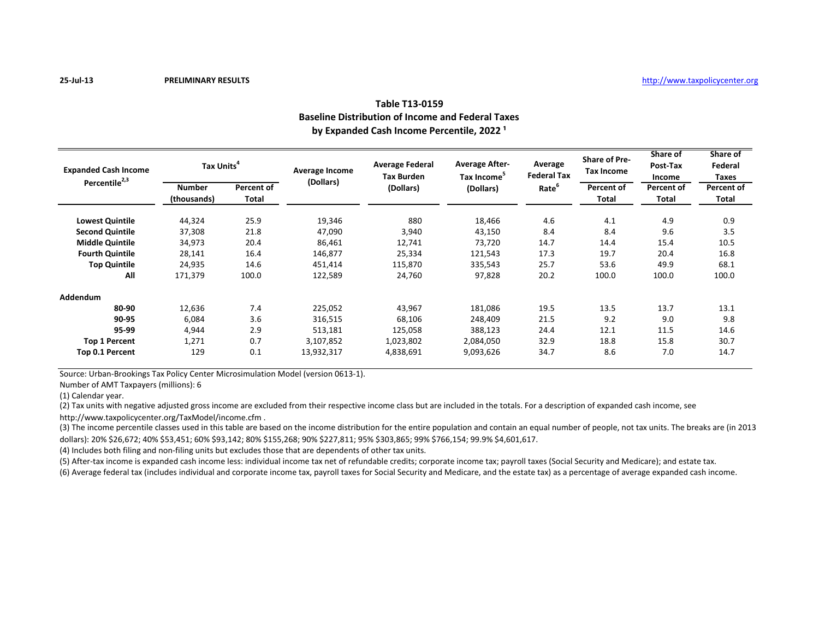# **Table T13-0159 Baseline Distribution of Income and Federal Taxes** by Expanded Cash Income Percentile, 2022<sup>1</sup>

| <b>Expanded Cash Income</b><br>Percentile <sup>2,3</sup> | Tax Units <sup>4</sup> |              | Average Income | <b>Average Federal</b><br><b>Tax Burden</b> | <b>Average After-</b><br>Tax Income <sup>5</sup> | Average<br><b>Federal Tax</b> | <b>Share of Pre-</b><br>Tax Income | Share of<br>Post-Tax<br>Income | Share of<br>Federal<br>Taxes |
|----------------------------------------------------------|------------------------|--------------|----------------|---------------------------------------------|--------------------------------------------------|-------------------------------|------------------------------------|--------------------------------|------------------------------|
|                                                          | <b>Number</b>          | Percent of   | (Dollars)      | (Dollars)                                   | (Dollars)                                        | Rate <sup>b</sup>             | Percent of                         | Percent of                     | Percent of                   |
|                                                          | (thousands)            | <b>Total</b> |                |                                             |                                                  |                               | <b>Total</b>                       | <b>Total</b>                   | Total                        |
| <b>Lowest Quintile</b>                                   | 44,324                 | 25.9         | 19,346         | 880                                         | 18,466                                           | 4.6                           | 4.1                                | 4.9                            | 0.9                          |
| <b>Second Quintile</b>                                   | 37,308                 | 21.8         | 47,090         | 3,940                                       | 43,150                                           | 8.4                           | 8.4                                | 9.6                            | 3.5                          |
| <b>Middle Quintile</b>                                   | 34,973                 | 20.4         | 86,461         | 12,741                                      | 73,720                                           | 14.7                          | 14.4                               | 15.4                           | 10.5                         |
| <b>Fourth Quintile</b>                                   | 28,141                 | 16.4         | 146,877        | 25,334                                      | 121,543                                          | 17.3                          | 19.7                               | 20.4                           | 16.8                         |
| <b>Top Quintile</b>                                      | 24,935                 | 14.6         | 451,414        | 115.870                                     | 335,543                                          | 25.7                          | 53.6                               | 49.9                           | 68.1                         |
| All                                                      | 171,379                | 100.0        | 122,589        | 24,760                                      | 97,828                                           | 20.2                          | 100.0                              | 100.0                          | 100.0                        |
| Addendum                                                 |                        |              |                |                                             |                                                  |                               |                                    |                                |                              |
| 80-90                                                    | 12,636                 | 7.4          | 225,052        | 43,967                                      | 181,086                                          | 19.5                          | 13.5                               | 13.7                           | 13.1                         |
| 90-95                                                    | 6,084                  | 3.6          | 316,515        | 68,106                                      | 248,409                                          | 21.5                          | 9.2                                | 9.0                            | 9.8                          |
| 95-99                                                    | 4,944                  | 2.9          | 513,181        | 125,058                                     | 388,123                                          | 24.4                          | 12.1                               | 11.5                           | 14.6                         |
| <b>Top 1 Percent</b>                                     | 1,271                  | 0.7          | 3,107,852      | 1,023,802                                   | 2,084,050                                        | 32.9                          | 18.8                               | 15.8                           | 30.7                         |
| Top 0.1 Percent                                          | 129                    | 0.1          | 13,932,317     | 4,838,691                                   | 9,093,626                                        | 34.7                          | 8.6                                | 7.0                            | 14.7                         |

Source: Urban-Brookings Tax Policy Center Microsimulation Model (version 0613-1).

Number of AMT Taxpayers (millions): 6

(1) Calendar year.

(2) Tax units with negative adjusted gross income are excluded from their respective income class but are included in the totals. For a description of expanded cash income, see

http://www.taxpolicycenter.org/TaxModel/income.cfm .

(3) The income percentile classes used in this table are based on the income distribution for the entire population and contain an equal number of people, not tax units. The breaks are (in 2013 dollars): 20% \$26,672; 40% \$53,451; 60% \$93,142; 80% \$155,268; 90% \$227,811; 95% \$303,865; 99% \$766,154; 99.9% \$4,601,617.

(4) Includes both filing and non-filing units but excludes those that are dependents of other tax units.

(5) After-tax income is expanded cash income less: individual income tax net of refundable credits; corporate income tax; payroll taxes (Social Security and Medicare); and estate tax.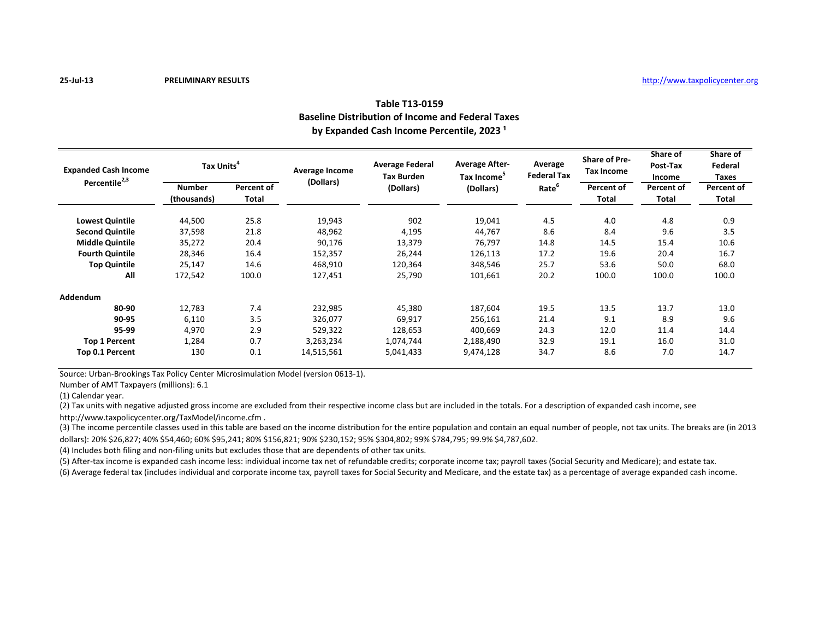# **Table T13-0159 Baseline Distribution of Income and Federal Taxes** by Expanded Cash Income Percentile, 2023<sup>1</sup>

| <b>Expanded Cash Income</b><br>Percentile <sup>2,3</sup> | Tax Units <sup>4</sup> |              | Average Income | <b>Average Federal</b><br><b>Tax Burden</b> | <b>Average After-</b><br>Tax Income <sup>5</sup> | Average<br><b>Federal Tax</b> | <b>Share of Pre-</b><br>Tax Income | Share of<br>Post-Tax<br>Income | Share of<br>Federal<br>Taxes |
|----------------------------------------------------------|------------------------|--------------|----------------|---------------------------------------------|--------------------------------------------------|-------------------------------|------------------------------------|--------------------------------|------------------------------|
|                                                          | <b>Number</b>          | Percent of   | (Dollars)      | (Dollars)                                   | (Dollars)                                        | Rate <sup>b</sup>             | Percent of                         | Percent of                     | Percent of                   |
|                                                          | (thousands)            | <b>Total</b> |                |                                             |                                                  |                               | <b>Total</b>                       | <b>Total</b>                   | Total                        |
| <b>Lowest Quintile</b>                                   | 44,500                 | 25.8         | 19,943         | 902                                         | 19,041                                           | 4.5                           | 4.0                                | 4.8                            | 0.9                          |
| <b>Second Quintile</b>                                   | 37,598                 | 21.8         | 48,962         | 4,195                                       | 44,767                                           | 8.6                           | 8.4                                | 9.6                            | 3.5                          |
| <b>Middle Quintile</b>                                   | 35,272                 | 20.4         | 90,176         | 13,379                                      | 76,797                                           | 14.8                          | 14.5                               | 15.4                           | 10.6                         |
| <b>Fourth Quintile</b>                                   | 28,346                 | 16.4         | 152,357        | 26,244                                      | 126,113                                          | 17.2                          | 19.6                               | 20.4                           | 16.7                         |
| <b>Top Quintile</b>                                      | 25,147                 | 14.6         | 468,910        | 120,364                                     | 348,546                                          | 25.7                          | 53.6                               | 50.0                           | 68.0                         |
| All                                                      | 172,542                | 100.0        | 127,451        | 25,790                                      | 101,661                                          | 20.2                          | 100.0                              | 100.0                          | 100.0                        |
| Addendum                                                 |                        |              |                |                                             |                                                  |                               |                                    |                                |                              |
| 80-90                                                    | 12,783                 | 7.4          | 232,985        | 45,380                                      | 187,604                                          | 19.5                          | 13.5                               | 13.7                           | 13.0                         |
| 90-95                                                    | 6,110                  | 3.5          | 326,077        | 69,917                                      | 256,161                                          | 21.4                          | 9.1                                | 8.9                            | 9.6                          |
| 95-99                                                    | 4,970                  | 2.9          | 529,322        | 128,653                                     | 400,669                                          | 24.3                          | 12.0                               | 11.4                           | 14.4                         |
| <b>Top 1 Percent</b>                                     | 1,284                  | 0.7          | 3,263,234      | 1,074,744                                   | 2,188,490                                        | 32.9                          | 19.1                               | 16.0                           | 31.0                         |
| Top 0.1 Percent                                          | 130                    | 0.1          | 14,515,561     | 5,041,433                                   | 9,474,128                                        | 34.7                          | 8.6                                | 7.0                            | 14.7                         |

Source: Urban-Brookings Tax Policy Center Microsimulation Model (version 0613-1).

Number of AMT Taxpayers (millions): 6.1

(1) Calendar year.

(2) Tax units with negative adjusted gross income are excluded from their respective income class but are included in the totals. For a description of expanded cash income, see

http://www.taxpolicycenter.org/TaxModel/income.cfm .

(3) The income percentile classes used in this table are based on the income distribution for the entire population and contain an equal number of people, not tax units. The breaks are (in 2013 dollars): 20% \$26,827; 40% \$54,460; 60% \$95,241; 80% \$156,821; 90% \$230,152; 95% \$304,802; 99% \$784,795; 99.9% \$4,787,602.

(4) Includes both filing and non-filing units but excludes those that are dependents of other tax units.

(5) After-tax income is expanded cash income less: individual income tax net of refundable credits; corporate income tax; payroll taxes (Social Security and Medicare); and estate tax.